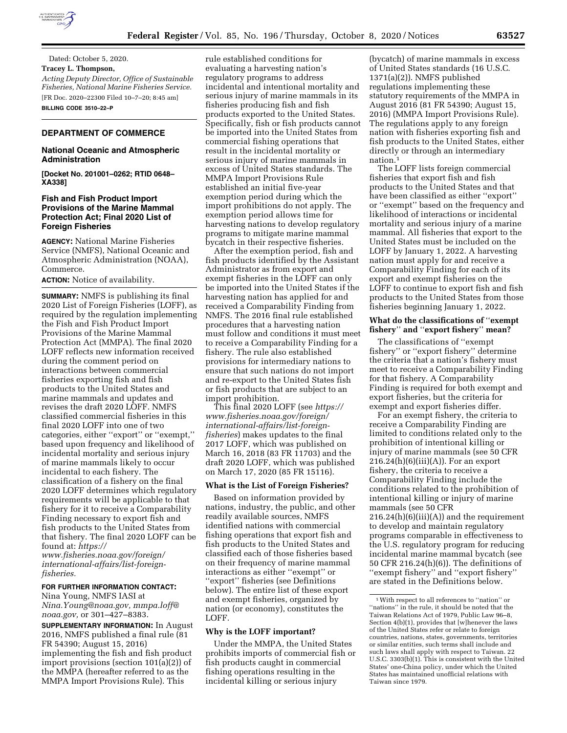

Dated: October 5, 2020. **Tracey L. Thompson,**  *Acting Deputy Director, Office of Sustainable Fisheries, National Marine Fisheries Service.*  [FR Doc. 2020–22300 Filed 10–7–20; 8:45 am] **BILLING CODE 3510–22–P** 

## **DEPARTMENT OF COMMERCE**

## **National Oceanic and Atmospheric Administration**

**[Docket No. 201001–0262; RTID 0648– XA338]** 

# **Fish and Fish Product Import Provisions of the Marine Mammal Protection Act; Final 2020 List of Foreign Fisheries**

**AGENCY:** National Marine Fisheries Service (NMFS), National Oceanic and Atmospheric Administration (NOAA), Commerce.

### **ACTION:** Notice of availability.

**SUMMARY:** NMFS is publishing its final 2020 List of Foreign Fisheries (LOFF), as required by the regulation implementing the Fish and Fish Product Import Provisions of the Marine Mammal Protection Act (MMPA). The final 2020 LOFF reflects new information received during the comment period on interactions between commercial fisheries exporting fish and fish products to the United States and marine mammals and updates and revises the draft 2020 LOFF. NMFS classified commercial fisheries in this final 2020 LOFF into one of two categories, either ''export'' or ''exempt,'' based upon frequency and likelihood of incidental mortality and serious injury of marine mammals likely to occur incidental to each fishery. The classification of a fishery on the final 2020 LOFF determines which regulatory requirements will be applicable to that fishery for it to receive a Comparability Finding necessary to export fish and fish products to the United States from that fishery. The final 2020 LOFF can be found at: *[https://](https://www.fisheries.noaa.gov/foreign/international-affairs/list-foreign-fisheries)*

*[www.fisheries.noaa.gov/foreign/](https://www.fisheries.noaa.gov/foreign/international-affairs/list-foreign-fisheries)  international-affairs/list-foreign[fisheries.](https://www.fisheries.noaa.gov/foreign/international-affairs/list-foreign-fisheries)* 

## **FOR FURTHER INFORMATION CONTACT:**

Nina Young, NMFS IASI at *[Nina.Young@noaa.gov,](mailto:Nina.Young@noaa.gov) [mmpa.loff@](mailto:mmpa.loff@noaa.gov) [noaa.gov,](mailto:mmpa.loff@noaa.gov)* or 301–427–8383.

**SUPPLEMENTARY INFORMATION:** In August 2016, NMFS published a final rule (81 FR 54390; August 15, 2016) implementing the fish and fish product import provisions (section 101(a)(2)) of the MMPA (hereafter referred to as the MMPA Import Provisions Rule). This

rule established conditions for evaluating a harvesting nation's regulatory programs to address incidental and intentional mortality and serious injury of marine mammals in its fisheries producing fish and fish products exported to the United States. Specifically, fish or fish products cannot be imported into the United States from commercial fishing operations that result in the incidental mortality or serious injury of marine mammals in excess of United States standards. The MMPA Import Provisions Rule established an initial five-year exemption period during which the import prohibitions do not apply. The exemption period allows time for harvesting nations to develop regulatory programs to mitigate marine mammal bycatch in their respective fisheries.

After the exemption period, fish and fish products identified by the Assistant Administrator as from export and exempt fisheries in the LOFF can only be imported into the United States if the harvesting nation has applied for and received a Comparability Finding from NMFS. The 2016 final rule established procedures that a harvesting nation must follow and conditions it must meet to receive a Comparability Finding for a fishery. The rule also established provisions for intermediary nations to ensure that such nations do not import and re-export to the United States fish or fish products that are subject to an import prohibition.

This final 2020 LOFF (see *[https://](https://www.fisheries.noaa.gov/foreign/international-affairs/list-foreign-fisheries) [www.fisheries.noaa.gov/foreign/](https://www.fisheries.noaa.gov/foreign/international-affairs/list-foreign-fisheries)  international-affairs/list-foreign[fisheries](https://www.fisheries.noaa.gov/foreign/international-affairs/list-foreign-fisheries)*) makes updates to the final 2017 LOFF, which was published on March 16, 2018 (83 FR 11703) and the draft 2020 LOFF, which was published on March 17, 2020 (85 FR 15116).

### **What is the List of Foreign Fisheries?**

Based on information provided by nations, industry, the public, and other readily available sources, NMFS identified nations with commercial fishing operations that export fish and fish products to the United States and classified each of those fisheries based on their frequency of marine mammal interactions as either ''exempt'' or ''export'' fisheries (see Definitions below). The entire list of these export and exempt fisheries, organized by nation (or economy), constitutes the LOFF.

### **Why is the LOFF important?**

Under the MMPA, the United States prohibits imports of commercial fish or fish products caught in commercial fishing operations resulting in the incidental killing or serious injury

(bycatch) of marine mammals in excess of United States standards (16 U.S.C. 1371(a)(2)). NMFS published regulations implementing these statutory requirements of the MMPA in August 2016 (81 FR 54390; August 15, 2016) (MMPA Import Provisions Rule). The regulations apply to any foreign nation with fisheries exporting fish and fish products to the United States, either directly or through an intermediary nation.1

The LOFF lists foreign commercial fisheries that export fish and fish products to the United States and that have been classified as either ''export'' or ''exempt'' based on the frequency and likelihood of interactions or incidental mortality and serious injury of a marine mammal. All fisheries that export to the United States must be included on the LOFF by January 1, 2022. A harvesting nation must apply for and receive a Comparability Finding for each of its export and exempt fisheries on the LOFF to continue to export fish and fish products to the United States from those fisheries beginning January 1, 2022.

## **What do the classifications of** ''**exempt fishery**'' **and** ''**export fishery**'' **mean?**

The classifications of ''exempt fishery'' or ''export fishery'' determine the criteria that a nation's fishery must meet to receive a Comparability Finding for that fishery. A Comparability Finding is required for both exempt and export fisheries, but the criteria for exempt and export fisheries differ.

For an exempt fishery, the criteria to receive a Comparability Finding are limited to conditions related only to the prohibition of intentional killing or injury of marine mammals (see 50 CFR  $216.24(h)(6)(iii)(A)$ . For an export fishery, the criteria to receive a Comparability Finding include the conditions related to the prohibition of intentional killing or injury of marine mammals (see 50 CFR  $216.24(h)(6)(iii)(A)$  and the requirement to develop and maintain regulatory programs comparable in effectiveness to the U.S. regulatory program for reducing incidental marine mammal bycatch (see 50 CFR 216.24(h)(6)). The definitions of ''exempt fishery'' and ''export fishery'' are stated in the Definitions below.

 $^{\rm 1}$  With respect to all references to ''nation'' or "nations" in the rule, it should be noted that the Taiwan Relations Act of 1979, Public Law 96–8, Section 4(b)(1), provides that [w]henever the laws of the United States refer or relate to foreign countries, nations, states, governments, territories or similar entities, such terms shall include and such laws shall apply with respect to Taiwan. 22 U.S.C. 3303(b)(1). This is consistent with the United States' one-China policy, under which the United States has maintained unofficial relations with Taiwan since 1979.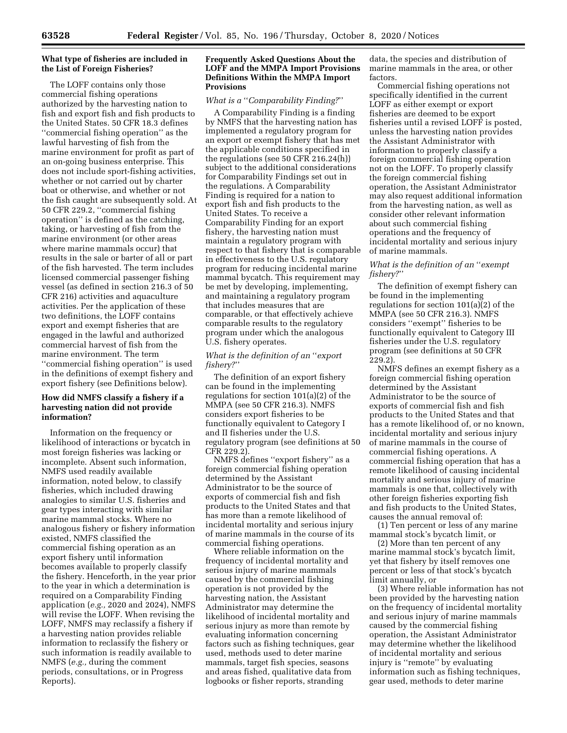# **What type of fisheries are included in the List of Foreign Fisheries?**

The LOFF contains only those commercial fishing operations authorized by the harvesting nation to fish and export fish and fish products to the United States. 50 CFR 18.3 defines ''commercial fishing operation'' as the lawful harvesting of fish from the marine environment for profit as part of an on-going business enterprise. This does not include sport-fishing activities, whether or not carried out by charter boat or otherwise, and whether or not the fish caught are subsequently sold. At 50 CFR 229.2, ''commercial fishing operation'' is defined as the catching, taking, or harvesting of fish from the marine environment (or other areas where marine mammals occur) that results in the sale or barter of all or part of the fish harvested. The term includes licensed commercial passenger fishing vessel (as defined in section 216.3 of 50 CFR 216) activities and aquaculture activities. Per the application of these two definitions, the LOFF contains export and exempt fisheries that are engaged in the lawful and authorized commercial harvest of fish from the marine environment. The term ''commercial fishing operation'' is used in the definitions of exempt fishery and export fishery (see Definitions below).

# **How did NMFS classify a fishery if a harvesting nation did not provide information?**

Information on the frequency or likelihood of interactions or bycatch in most foreign fisheries was lacking or incomplete. Absent such information, NMFS used readily available information, noted below, to classify fisheries, which included drawing analogies to similar U.S. fisheries and gear types interacting with similar marine mammal stocks. Where no analogous fishery or fishery information existed, NMFS classified the commercial fishing operation as an export fishery until information becomes available to properly classify the fishery. Henceforth, in the year prior to the year in which a determination is required on a Comparability Finding application (*e.g.,* 2020 and 2024), NMFS will revise the LOFF. When revising the LOFF, NMFS may reclassify a fishery if a harvesting nation provides reliable information to reclassify the fishery or such information is readily available to NMFS (*e.g.,* during the comment periods, consultations, or in Progress Reports).

## **Frequently Asked Questions About the LOFF and the MMPA Import Provisions Definitions Within the MMPA Import Provisions**

## *What is a* ''*Comparability Finding?*''

A Comparability Finding is a finding by NMFS that the harvesting nation has implemented a regulatory program for an export or exempt fishery that has met the applicable conditions specified in the regulations (see 50 CFR 216.24(h)) subject to the additional considerations for Comparability Findings set out in the regulations. A Comparability Finding is required for a nation to export fish and fish products to the United States. To receive a Comparability Finding for an export fishery, the harvesting nation must maintain a regulatory program with respect to that fishery that is comparable in effectiveness to the U.S. regulatory program for reducing incidental marine mammal bycatch. This requirement may be met by developing, implementing, and maintaining a regulatory program that includes measures that are comparable, or that effectively achieve comparable results to the regulatory program under which the analogous U.S. fishery operates.

## *What is the definition of an* ''*export fishery?*''

The definition of an export fishery can be found in the implementing regulations for section 101(a)(2) of the MMPA (see 50 CFR 216.3). NMFS considers export fisheries to be functionally equivalent to Category I and II fisheries under the U.S. regulatory program (see definitions at 50 CFR 229.2).

NMFS defines ''export fishery'' as a foreign commercial fishing operation determined by the Assistant Administrator to be the source of exports of commercial fish and fish products to the United States and that has more than a remote likelihood of incidental mortality and serious injury of marine mammals in the course of its commercial fishing operations.

Where reliable information on the frequency of incidental mortality and serious injury of marine mammals caused by the commercial fishing operation is not provided by the harvesting nation, the Assistant Administrator may determine the likelihood of incidental mortality and serious injury as more than remote by evaluating information concerning factors such as fishing techniques, gear used, methods used to deter marine mammals, target fish species, seasons and areas fished, qualitative data from logbooks or fisher reports, stranding

data, the species and distribution of marine mammals in the area, or other factors.

Commercial fishing operations not specifically identified in the current LOFF as either exempt or export fisheries are deemed to be export fisheries until a revised LOFF is posted, unless the harvesting nation provides the Assistant Administrator with information to properly classify a foreign commercial fishing operation not on the LOFF. To properly classify the foreign commercial fishing operation, the Assistant Administrator may also request additional information from the harvesting nation, as well as consider other relevant information about such commercial fishing operations and the frequency of incidental mortality and serious injury of marine mammals.

# *What is the definition of an* ''*exempt fishery?*''

The definition of exempt fishery can be found in the implementing regulations for section 101(a)(2) of the MMPA (see 50 CFR 216.3). NMFS considers ''exempt'' fisheries to be functionally equivalent to Category III fisheries under the U.S. regulatory program (see definitions at 50 CFR 229.2).

NMFS defines an exempt fishery as a foreign commercial fishing operation determined by the Assistant Administrator to be the source of exports of commercial fish and fish products to the United States and that has a remote likelihood of, or no known, incidental mortality and serious injury of marine mammals in the course of commercial fishing operations. A commercial fishing operation that has a remote likelihood of causing incidental mortality and serious injury of marine mammals is one that, collectively with other foreign fisheries exporting fish and fish products to the United States, causes the annual removal of:

(1) Ten percent or less of any marine mammal stock's bycatch limit, or

(2) More than ten percent of any marine mammal stock's bycatch limit, yet that fishery by itself removes one percent or less of that stock's bycatch limit annually, or

(3) Where reliable information has not been provided by the harvesting nation on the frequency of incidental mortality and serious injury of marine mammals caused by the commercial fishing operation, the Assistant Administrator may determine whether the likelihood of incidental mortality and serious injury is ''remote'' by evaluating information such as fishing techniques, gear used, methods to deter marine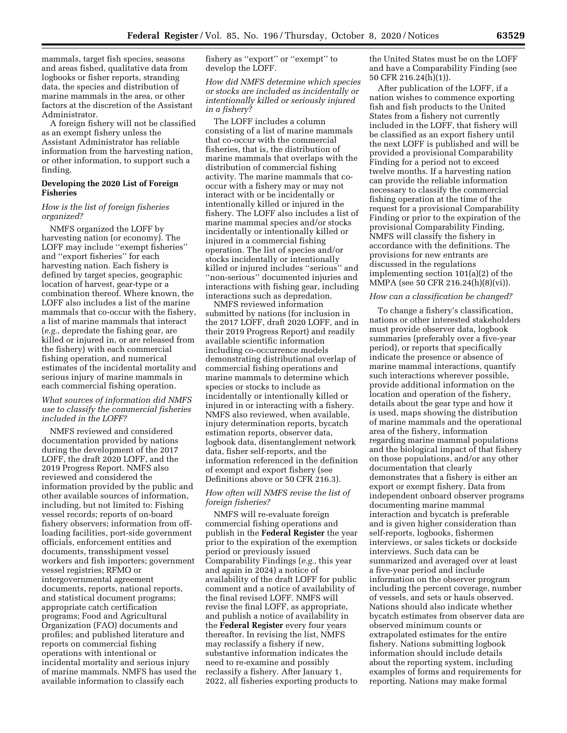mammals, target fish species, seasons and areas fished, qualitative data from logbooks or fisher reports, stranding data, the species and distribution of marine mammals in the area, or other factors at the discretion of the Assistant Administrator.

A foreign fishery will not be classified as an exempt fishery unless the Assistant Administrator has reliable information from the harvesting nation, or other information, to support such a finding.

# **Developing the 2020 List of Foreign Fisheries**

## *How is the list of foreign fisheries organized?*

NMFS organized the LOFF by harvesting nation (or economy). The LOFF may include ''exempt fisheries'' and ''export fisheries'' for each harvesting nation. Each fishery is defined by target species, geographic location of harvest, gear-type or a combination thereof. Where known, the LOFF also includes a list of the marine mammals that co-occur with the fishery, a list of marine mammals that interact (*e.g.,* depredate the fishing gear, are killed or injured in, or are released from the fishery) with each commercial fishing operation, and numerical estimates of the incidental mortality and serious injury of marine mammals in each commercial fishing operation.

## *What sources of information did NMFS use to classify the commercial fisheries included in the LOFF?*

NMFS reviewed and considered documentation provided by nations during the development of the 2017 LOFF, the draft 2020 LOFF, and the 2019 Progress Report. NMFS also reviewed and considered the information provided by the public and other available sources of information, including, but not limited to: Fishing vessel records; reports of on-board fishery observers; information from offloading facilities, port-side government officials, enforcement entities and documents, transshipment vessel workers and fish importers; government vessel registries; RFMO or intergovernmental agreement documents, reports, national reports, and statistical document programs; appropriate catch certification programs; Food and Agricultural Organization (FAO) documents and profiles; and published literature and reports on commercial fishing operations with intentional or incidental mortality and serious injury of marine mammals. NMFS has used the available information to classify each

fishery as ''export'' or ''exempt'' to develop the LOFF.

*How did NMFS determine which species or stocks are included as incidentally or intentionally killed or seriously injured in a fishery?* 

The LOFF includes a column consisting of a list of marine mammals that co-occur with the commercial fisheries, that is, the distribution of marine mammals that overlaps with the distribution of commercial fishing activity. The marine mammals that cooccur with a fishery may or may not interact with or be incidentally or intentionally killed or injured in the fishery. The LOFF also includes a list of marine mammal species and/or stocks incidentally or intentionally killed or injured in a commercial fishing operation. The list of species and/or stocks incidentally or intentionally killed or injured includes ''serious'' and ''non-serious'' documented injuries and interactions with fishing gear, including interactions such as depredation.

NMFS reviewed information submitted by nations (for inclusion in the 2017 LOFF, draft 2020 LOFF, and in their 2019 Progress Report) and readily available scientific information including co-occurrence models demonstrating distributional overlap of commercial fishing operations and marine mammals to determine which species or stocks to include as incidentally or intentionally killed or injured in or interacting with a fishery. NMFS also reviewed, when available, injury determination reports, bycatch estimation reports, observer data, logbook data, disentanglement network data, fisher self-reports, and the information referenced in the definition of exempt and export fishery (see Definitions above or 50 CFR 216.3).

# *How often will NMFS revise the list of foreign fisheries?*

NMFS will re-evaluate foreign commercial fishing operations and publish in the **Federal Register** the year prior to the expiration of the exemption period or previously issued Comparability Findings (*e.g.,* this year and again in 2024) a notice of availability of the draft LOFF for public comment and a notice of availability of the final revised LOFF. NMFS will revise the final LOFF, as appropriate, and publish a notice of availability in the **Federal Register** every four years thereafter. In revising the list, NMFS may reclassify a fishery if new, substantive information indicates the need to re-examine and possibly reclassify a fishery. After January 1, 2022, all fisheries exporting products to the United States must be on the LOFF and have a Comparability Finding (see 50 CFR 216.24(h)(1)).

After publication of the LOFF, if a nation wishes to commence exporting fish and fish products to the United States from a fishery not currently included in the LOFF, that fishery will be classified as an export fishery until the next LOFF is published and will be provided a provisional Comparability Finding for a period not to exceed twelve months. If a harvesting nation can provide the reliable information necessary to classify the commercial fishing operation at the time of the request for a provisional Comparability Finding or prior to the expiration of the provisional Comparability Finding, NMFS will classify the fishery in accordance with the definitions. The provisions for new entrants are discussed in the regulations implementing section 101(a)(2) of the MMPA (see 50 CFR 216.24(h)(8)(vi)).

#### *How can a classification be changed?*

To change a fishery's classification, nations or other interested stakeholders must provide observer data, logbook summaries (preferably over a five-year period), or reports that specifically indicate the presence or absence of marine mammal interactions, quantify such interactions wherever possible, provide additional information on the location and operation of the fishery, details about the gear type and how it is used, maps showing the distribution of marine mammals and the operational area of the fishery, information regarding marine mammal populations and the biological impact of that fishery on those populations, and/or any other documentation that clearly demonstrates that a fishery is either an export or exempt fishery. Data from independent onboard observer programs documenting marine mammal interaction and bycatch is preferable and is given higher consideration than self-reports, logbooks, fishermen interviews, or sales tickets or dockside interviews. Such data can be summarized and averaged over at least a five-year period and include information on the observer program including the percent coverage, number of vessels, and sets or hauls observed. Nations should also indicate whether bycatch estimates from observer data are observed minimum counts or extrapolated estimates for the entire fishery. Nations submitting logbook information should include details about the reporting system, including examples of forms and requirements for reporting. Nations may make formal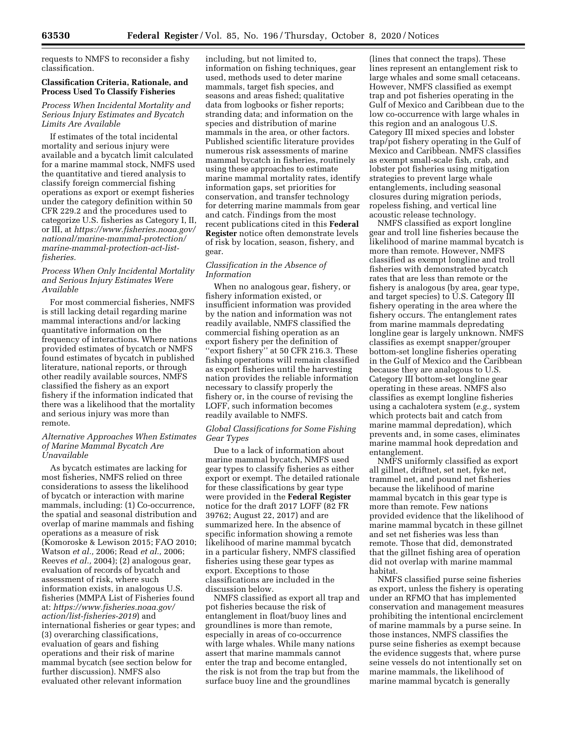requests to NMFS to reconsider a fishy classification.

# **Classification Criteria, Rationale, and Process Used To Classify Fisheries**

## *Process When Incidental Mortality and Serious Injury Estimates and Bycatch Limits Are Available*

If estimates of the total incidental mortality and serious injury were available and a bycatch limit calculated for a marine mammal stock, NMFS used the quantitative and tiered analysis to classify foreign commercial fishing operations as export or exempt fisheries under the category definition within 50 CFR 229.2 and the procedures used to categorize U.S. fisheries as Category I, II, or III, at *[https://www.fisheries.noaa.gov/](https://www.fisheries.noaa.gov/national/marine-mammal-protection/marine-mammal-protection-act-list-fisheries)  [national/marine-mammal-protection/](https://www.fisheries.noaa.gov/national/marine-mammal-protection/marine-mammal-protection-act-list-fisheries)  marine-mammal-protection-act-list[fisheries.](https://www.fisheries.noaa.gov/national/marine-mammal-protection/marine-mammal-protection-act-list-fisheries)* 

### *Process When Only Incidental Mortality and Serious Injury Estimates Were Available*

For most commercial fisheries, NMFS is still lacking detail regarding marine mammal interactions and/or lacking quantitative information on the frequency of interactions. Where nations provided estimates of bycatch or NMFS found estimates of bycatch in published literature, national reports, or through other readily available sources, NMFS classified the fishery as an export fishery if the information indicated that there was a likelihood that the mortality and serious injury was more than remote.

## *Alternative Approaches When Estimates of Marine Mammal Bycatch Are Unavailable*

As bycatch estimates are lacking for most fisheries, NMFS relied on three considerations to assess the likelihood of bycatch or interaction with marine mammals, including: (1) Co-occurrence, the spatial and seasonal distribution and overlap of marine mammals and fishing operations as a measure of risk (Komoroske & Lewison 2015; FAO 2010; Watson *et al.,* 2006; Read *et al.,* 2006; Reeves *et al.,* 2004); (2) analogous gear, evaluation of records of bycatch and assessment of risk, where such information exists, in analogous U.S. fisheries (MMPA List of Fisheries found at: *[https://www.fisheries.noaa.gov/](https://www.fisheries.noaa.gov/action/list-fisheries-2019)  [action/list-fisheries-2019](https://www.fisheries.noaa.gov/action/list-fisheries-2019)*) and international fisheries or gear types; and (3) overarching classifications, evaluation of gears and fishing operations and their risk of marine mammal bycatch (see section below for further discussion). NMFS also evaluated other relevant information

including, but not limited to, information on fishing techniques, gear used, methods used to deter marine mammals, target fish species, and seasons and areas fished; qualitative data from logbooks or fisher reports; stranding data; and information on the species and distribution of marine mammals in the area, or other factors. Published scientific literature provides numerous risk assessments of marine mammal bycatch in fisheries, routinely using these approaches to estimate marine mammal mortality rates, identify information gaps, set priorities for conservation, and transfer technology for deterring marine mammals from gear and catch. Findings from the most recent publications cited in this **Federal Register** notice often demonstrate levels of risk by location, season, fishery, and gear.

## *Classification in the Absence of Information*

When no analogous gear, fishery, or fishery information existed, or insufficient information was provided by the nation and information was not readily available, NMFS classified the commercial fishing operation as an export fishery per the definition of "export fishery" at 50 CFR 216.3. These fishing operations will remain classified as export fisheries until the harvesting nation provides the reliable information necessary to classify properly the fishery or, in the course of revising the LOFF, such information becomes readily available to NMFS.

#### *Global Classifications for Some Fishing Gear Types*

Due to a lack of information about marine mammal bycatch, NMFS used gear types to classify fisheries as either export or exempt. The detailed rationale for these classifications by gear type were provided in the **Federal Register**  notice for the draft 2017 LOFF (82 FR 39762; August 22, 2017) and are summarized here. In the absence of specific information showing a remote likelihood of marine mammal bycatch in a particular fishery, NMFS classified fisheries using these gear types as export. Exceptions to those classifications are included in the discussion below.

NMFS classified as export all trap and pot fisheries because the risk of entanglement in float/buoy lines and groundlines is more than remote, especially in areas of co-occurrence with large whales. While many nations assert that marine mammals cannot enter the trap and become entangled, the risk is not from the trap but from the surface buoy line and the groundlines

(lines that connect the traps). These lines represent an entanglement risk to large whales and some small cetaceans. However, NMFS classified as exempt trap and pot fisheries operating in the Gulf of Mexico and Caribbean due to the low co-occurrence with large whales in this region and an analogous U.S. Category III mixed species and lobster trap/pot fishery operating in the Gulf of Mexico and Caribbean. NMFS classifies as exempt small-scale fish, crab, and lobster pot fisheries using mitigation strategies to prevent large whale entanglements, including seasonal closures during migration periods, ropeless fishing, and vertical line acoustic release technology.

NMFS classified as export longline gear and troll line fisheries because the likelihood of marine mammal bycatch is more than remote. However, NMFS classified as exempt longline and troll fisheries with demonstrated bycatch rates that are less than remote or the fishery is analogous (by area, gear type, and target species) to U.S. Category III fishery operating in the area where the fishery occurs. The entanglement rates from marine mammals depredating longline gear is largely unknown. NMFS classifies as exempt snapper/grouper bottom-set longline fisheries operating in the Gulf of Mexico and the Caribbean because they are analogous to U.S. Category III bottom-set longline gear operating in these areas. NMFS also classifies as exempt longline fisheries using a cachalotera system (*e.g.,* system which protects bait and catch from marine mammal depredation), which prevents and, in some cases, eliminates marine mammal hook depredation and entanglement.

NMFS uniformly classified as export all gillnet, driftnet, set net, fyke net, trammel net, and pound net fisheries because the likelihood of marine mammal bycatch in this gear type is more than remote. Few nations provided evidence that the likelihood of marine mammal bycatch in these gillnet and set net fisheries was less than remote. Those that did, demonstrated that the gillnet fishing area of operation did not overlap with marine mammal habitat.

NMFS classified purse seine fisheries as export, unless the fishery is operating under an RFMO that has implemented conservation and management measures prohibiting the intentional encirclement of marine mammals by a purse seine. In those instances, NMFS classifies the purse seine fisheries as exempt because the evidence suggests that, where purse seine vessels do not intentionally set on marine mammals, the likelihood of marine mammal bycatch is generally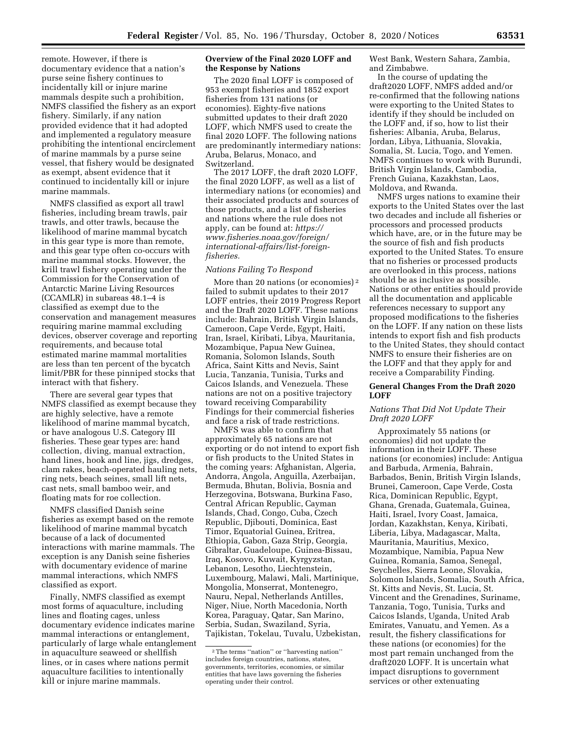remote However, if there is documentary evidence that a nation's purse seine fishery continues to incidentally kill or injure marine mammals despite such a prohibition, NMFS classified the fishery as an export fishery. Similarly, if any nation provided evidence that it had adopted and implemented a regulatory measure prohibiting the intentional encirclement of marine mammals by a purse seine vessel, that fishery would be designated as exempt, absent evidence that it continued to incidentally kill or injure marine mammals.

NMFS classified as export all trawl fisheries, including bream trawls, pair trawls, and otter trawls, because the likelihood of marine mammal bycatch in this gear type is more than remote, and this gear type often co-occurs with marine mammal stocks. However, the krill trawl fishery operating under the Commission for the Conservation of Antarctic Marine Living Resources (CCAMLR) in subareas 48.1–4 is classified as exempt due to the conservation and management measures requiring marine mammal excluding devices, observer coverage and reporting requirements, and because total estimated marine mammal mortalities are less than ten percent of the bycatch limit/PBR for these pinniped stocks that interact with that fishery.

There are several gear types that NMFS classified as exempt because they are highly selective, have a remote likelihood of marine mammal bycatch, or have analogous U.S. Category III fisheries. These gear types are: hand collection, diving, manual extraction, hand lines, hook and line, jigs, dredges, clam rakes, beach-operated hauling nets, ring nets, beach seines, small lift nets, cast nets, small bamboo weir, and floating mats for roe collection.

NMFS classified Danish seine fisheries as exempt based on the remote likelihood of marine mammal bycatch because of a lack of documented interactions with marine mammals. The exception is any Danish seine fisheries with documentary evidence of marine mammal interactions, which NMFS classified as export.

Finally, NMFS classified as exempt most forms of aquaculture, including lines and floating cages, unless documentary evidence indicates marine mammal interactions or entanglement, particularly of large whale entanglement in aquaculture seaweed or shellfish lines, or in cases where nations permit aquaculture facilities to intentionally kill or injure marine mammals.

### **Overview of the Final 2020 LOFF and the Response by Nations**

The 2020 final LOFF is composed of 953 exempt fisheries and 1852 export fisheries from 131 nations (or economies). Eighty-five nations submitted updates to their draft 2020 LOFF, which NMFS used to create the final 2020 LOFF. The following nations are predominantly intermediary nations: Aruba, Belarus, Monaco, and Switzerland.

The 2017 LOFF, the draft 2020 LOFF, the final 2020 LOFF, as well as a list of intermediary nations (or economies) and their associated products and sources of those products, and a list of fisheries and nations where the rule does not apply, can be found at: *[https://](https://www.fisheries.noaa.gov/foreign/international-affairs/list-foreign-fisheries) [www.fisheries.noaa.gov/foreign/](https://www.fisheries.noaa.gov/foreign/international-affairs/list-foreign-fisheries)  international-affairs/list-foreign[fisheries.](https://www.fisheries.noaa.gov/foreign/international-affairs/list-foreign-fisheries)* 

## *Nations Failing To Respond*

More than 20 nations (or economies) 2 failed to submit updates to their 2017 LOFF entries, their 2019 Progress Report and the Draft 2020 LOFF. These nations include: Bahrain, British Virgin Islands, Cameroon, Cape Verde, Egypt, Haiti, Iran, Israel, Kiribati, Libya, Mauritania, Mozambique, Papua New Guinea, Romania, Solomon Islands, South Africa, Saint Kitts and Nevis, Saint Lucia, Tanzania, Tunisia, Turks and Caicos Islands, and Venezuela. These nations are not on a positive trajectory toward receiving Comparability Findings for their commercial fisheries and face a risk of trade restrictions.

NMFS was able to confirm that approximately 65 nations are not exporting or do not intend to export fish or fish products to the United States in the coming years: Afghanistan, Algeria, Andorra, Angola, Anguilla, Azerbaijan, Bermuda, Bhutan, Bolivia, Bosnia and Herzegovina, Botswana, Burkina Faso, Central African Republic, Cayman Islands, Chad, Congo, Cuba, Czech Republic, Djibouti, Dominica, East Timor, Equatorial Guinea, Eritrea, Ethiopia, Gabon, Gaza Strip, Georgia, Gibraltar, Guadeloupe, Guinea-Bissau, Iraq, Kosovo, Kuwait, Kyrgyzstan, Lebanon, Lesotho, Liechtenstein, Luxembourg, Malawi, Mali, Martinique, Mongolia, Monserrat, Montenegro, Nauru, Nepal, Netherlands Antilles, Niger, Niue, North Macedonia, North Korea, Paraguay, Qatar, San Marino, Serbia, Sudan, Swaziland, Syria, Tajikistan, Tokelau, Tuvalu, Uzbekistan, West Bank, Western Sahara, Zambia, and Zimbabwe.

In the course of updating the draft2020 LOFF, NMFS added and/or re-confirmed that the following nations were exporting to the United States to identify if they should be included on the LOFF and, if so, how to list their fisheries: Albania, Aruba, Belarus, Jordan, Libya, Lithuania, Slovakia, Somalia, St. Lucia, Togo, and Yemen. NMFS continues to work with Burundi, British Virgin Islands, Cambodia, French Guiana, Kazakhstan, Laos, Moldova, and Rwanda.

NMFS urges nations to examine their exports to the United States over the last two decades and include all fisheries or processors and processed products which have, are, or in the future may be the source of fish and fish products exported to the United States. To ensure that no fisheries or processed products are overlooked in this process, nations should be as inclusive as possible. Nations or other entities should provide all the documentation and applicable references necessary to support any proposed modifications to the fisheries on the LOFF. If any nation on these lists intends to export fish and fish products to the United States, they should contact NMFS to ensure their fisheries are on the LOFF and that they apply for and receive a Comparability Finding.

## **General Changes From the Draft 2020 LOFF**

### *Nations That Did Not Update Their Draft 2020 LOFF*

Approximately 55 nations (or economies) did not update the information in their LOFF. These nations (or economies) include: Antigua and Barbuda, Armenia, Bahrain, Barbados, Benin, British Virgin Islands, Brunei, Cameroon, Cape Verde, Costa Rica, Dominican Republic, Egypt, Ghana, Grenada, Guatemala, Guinea, Haiti, Israel, Ivory Coast, Jamaica, Jordan, Kazakhstan, Kenya, Kiribati, Liberia, Libya, Madagascar, Malta, Mauritania, Mauritius, Mexico, Mozambique, Namibia, Papua New Guinea, Romania, Samoa, Senegal, Seychelles, Sierra Leone, Slovakia, Solomon Islands, Somalia, South Africa, St. Kitts and Nevis, St. Lucia, St. Vincent and the Grenadines, Suriname, Tanzania, Togo, Tunisia, Turks and Caicos Islands, Uganda, United Arab Emirates, Vanuatu, and Yemen. As a result, the fishery classifications for these nations (or economies) for the most part remain unchanged from the draft2020 LOFF. It is uncertain what impact disruptions to government services or other extenuating

<sup>2</sup>The terms ''nation'' or ''harvesting nation'' includes foreign countries, nations, states, governments, territories, economies, or similar entities that have laws governing the fisheries operating under their control.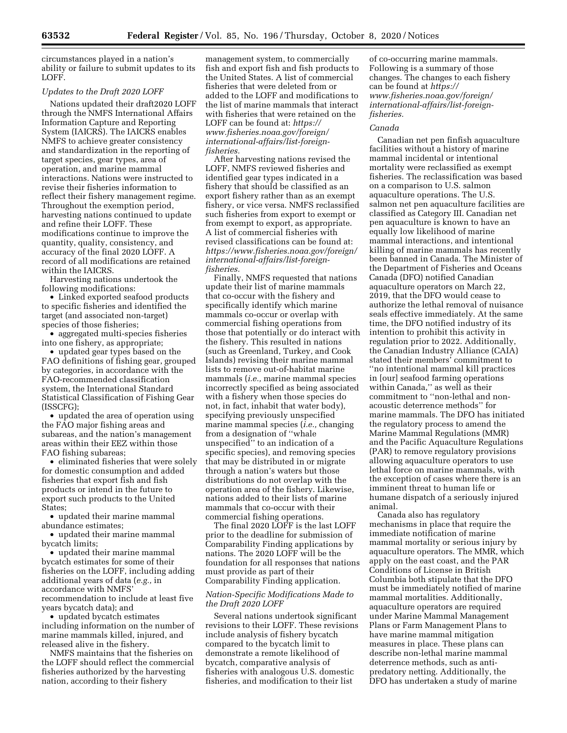circumstances played in a nation's ability or failure to submit updates to its LOFF.

#### *Updates to the Draft 2020 LOFF*

Nations updated their draft2020 LOFF through the NMFS International Affairs Information Capture and Reporting System (IAICRS). The IAICRS enables NMFS to achieve greater consistency and standardization in the reporting of target species, gear types, area of operation, and marine mammal interactions. Nations were instructed to revise their fisheries information to reflect their fishery management regime. Throughout the exemption period, harvesting nations continued to update and refine their LOFF. These modifications continue to improve the quantity, quality, consistency, and accuracy of the final 2020 LOFF. A record of all modifications are retained within the IAICRS.

Harvesting nations undertook the following modifications:

• Linked exported seafood products to specific fisheries and identified the target (and associated non-target) species of those fisheries;

• aggregated multi-species fisheries into one fishery, as appropriate;

• updated gear types based on the FAO definitions of fishing gear, grouped by categories, in accordance with the FAO-recommended classification system, the International Standard Statistical Classification of Fishing Gear (ISSCFG);

• updated the area of operation using the FAO major fishing areas and subareas, and the nation's management areas within their EEZ within those FAO fishing subareas;

• eliminated fisheries that were solely for domestic consumption and added fisheries that export fish and fish products or intend in the future to export such products to the United States;

• updated their marine mammal abundance estimates;

• updated their marine mammal bycatch limits;

• updated their marine mammal bycatch estimates for some of their fisheries on the LOFF, including adding additional years of data (*e.g.,* in accordance with NMFS' recommendation to include at least five years bycatch data); and

• updated bycatch estimates including information on the number of marine mammals killed, injured, and released alive in the fishery.

NMFS maintains that the fisheries on the LOFF should reflect the commercial fisheries authorized by the harvesting nation, according to their fishery

management system, to commercially fish and export fish and fish products to the United States. A list of commercial fisheries that were deleted from or added to the LOFF and modifications to the list of marine mammals that interact with fisheries that were retained on the LOFF can be found at: *[https://](https://www.fisheries.noaa.gov/foreign/international-affairs/list-foreign-fisheries) [www.fisheries.noaa.gov/foreign/](https://www.fisheries.noaa.gov/foreign/international-affairs/list-foreign-fisheries)  international-affairs/list-foreign[fisheries.](https://www.fisheries.noaa.gov/foreign/international-affairs/list-foreign-fisheries)* 

After harvesting nations revised the LOFF, NMFS reviewed fisheries and identified gear types indicated in a fishery that should be classified as an export fishery rather than as an exempt fishery, or vice versa. NMFS reclassified such fisheries from export to exempt or from exempt to export, as appropriate. A list of commercial fisheries with revised classifications can be found at: *[https://www.fisheries.noaa.gov/foreign/](https://www.fisheries.noaa.gov/foreign/international-affairs/list-foreign-fisheries)  [international-affairs/list-foreign](https://www.fisheries.noaa.gov/foreign/international-affairs/list-foreign-fisheries)[fisheries](https://www.fisheries.noaa.gov/foreign/international-affairs/list-foreign-fisheries).* 

Finally, NMFS requested that nations update their list of marine mammals that co-occur with the fishery and specifically identify which marine mammals co-occur or overlap with commercial fishing operations from those that potentially or do interact with the fishery. This resulted in nations (such as Greenland, Turkey, and Cook Islands) revising their marine mammal lists to remove out-of-habitat marine mammals (*i.e.,* marine mammal species incorrectly specified as being associated with a fishery when those species do not, in fact, inhabit that water body), specifying previously unspecified marine mammal species (*i.e.,* changing from a designation of ''whale unspecified'' to an indication of a specific species), and removing species that may be distributed in or migrate through a nation's waters but those distributions do not overlap with the operation area of the fishery. Likewise, nations added to their lists of marine mammals that co-occur with their commercial fishing operations.

The final 2020 LOFF is the last LOFF prior to the deadline for submission of Comparability Finding applications by nations. The 2020 LOFF will be the foundation for all responses that nations must provide as part of their Comparability Finding application.

# *Nation-Specific Modifications Made to the Draft 2020 LOFF*

Several nations undertook significant revisions to their LOFF. These revisions include analysis of fishery bycatch compared to the bycatch limit to demonstrate a remote likelihood of bycatch, comparative analysis of fisheries with analogous U.S. domestic fisheries, and modification to their list

of co-occurring marine mammals. Following is a summary of those changes. The changes to each fishery can be found at *[https://](https://www.fisheries.noaa.gov/foreign/international-affairs/list-foreign-fisheries) [www.fisheries.noaa.gov/foreign/](https://www.fisheries.noaa.gov/foreign/international-affairs/list-foreign-fisheries)  international-affairs/list-foreign[fisheries.](https://www.fisheries.noaa.gov/foreign/international-affairs/list-foreign-fisheries)* 

### *Canada*

Canadian net pen finfish aquaculture facilities without a history of marine mammal incidental or intentional mortality were reclassified as exempt fisheries. The reclassification was based on a comparison to U.S. salmon aquaculture operations. The U.S. salmon net pen aquaculture facilities are classified as Category III. Canadian net pen aquaculture is known to have an equally low likelihood of marine mammal interactions, and intentional killing of marine mammals has recently been banned in Canada. The Minister of the Department of Fisheries and Oceans Canada (DFO) notified Canadian aquaculture operators on March 22, 2019, that the DFO would cease to authorize the lethal removal of nuisance seals effective immediately. At the same time, the DFO notified industry of its intention to prohibit this activity in regulation prior to 2022. Additionally, the Canadian Industry Alliance (CAIA) stated their members' commitment to ''no intentional mammal kill practices in [our] seafood farming operations within Canada,'' as well as their commitment to ''non-lethal and nonacoustic deterrence methods'' for marine mammals. The DFO has initiated the regulatory process to amend the Marine Mammal Regulations (MMR) and the Pacific Aquaculture Regulations (PAR) to remove regulatory provisions allowing aquaculture operators to use lethal force on marine mammals, with the exception of cases where there is an imminent threat to human life or humane dispatch of a seriously injured animal.

Canada also has regulatory mechanisms in place that require the immediate notification of marine mammal mortality or serious injury by aquaculture operators. The MMR, which apply on the east coast, and the PAR Conditions of License in British Columbia both stipulate that the DFO must be immediately notified of marine mammal mortalities. Additionally, aquaculture operators are required under Marine Mammal Management Plans or Farm Management Plans to have marine mammal mitigation measures in place. These plans can describe non-lethal marine mammal deterrence methods, such as antipredatory netting. Additionally, the DFO has undertaken a study of marine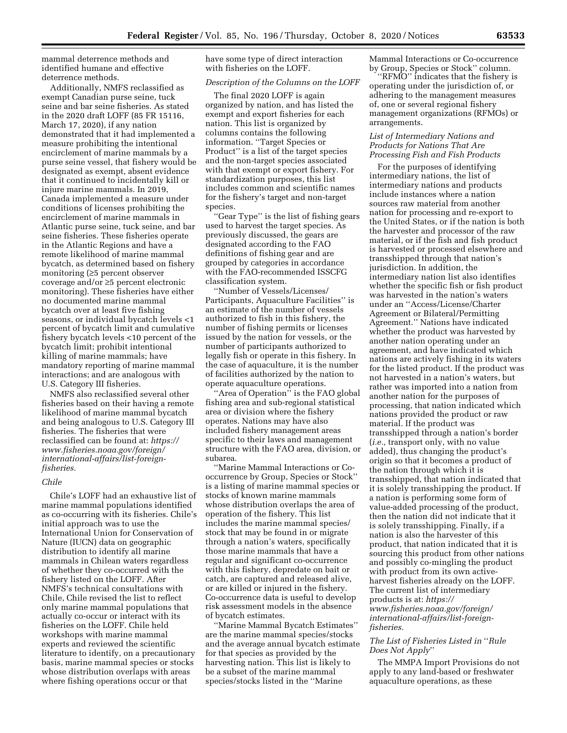mammal deterrence methods and identified humane and effective deterrence methods.

Additionally, NMFS reclassified as exempt Canadian purse seine, tuck seine and bar seine fisheries. As stated in the 2020 draft LOFF (85 FR 15116, March 17, 2020), if any nation demonstrated that it had implemented a measure prohibiting the intentional encirclement of marine mammals by a purse seine vessel, that fishery would be designated as exempt, absent evidence that it continued to incidentally kill or injure marine mammals. In 2019, Canada implemented a measure under conditions of licenses prohibiting the encirclement of marine mammals in Atlantic purse seine, tuck seine, and bar seine fisheries. These fisheries operate in the Atlantic Regions and have a remote likelihood of marine mammal bycatch, as determined based on fishery monitoring (≥5 percent observer coverage and/or ≥5 percent electronic monitoring). These fisheries have either no documented marine mammal bycatch over at least five fishing seasons, or individual bycatch levels <1 percent of bycatch limit and cumulative fishery bycatch levels <10 percent of the bycatch limit; prohibit intentional killing of marine mammals; have mandatory reporting of marine mammal interactions; and are analogous with U.S. Category III fisheries.

NMFS also reclassified several other fisheries based on their having a remote likelihood of marine mammal bycatch and being analogous to U.S. Category III fisheries. The fisheries that were reclassified can be found at: *[https://](https://www.fisheries.noaa.gov/foreign/international-affairs/list-foreign-fisheries) [www.fisheries.noaa.gov/foreign/](https://www.fisheries.noaa.gov/foreign/international-affairs/list-foreign-fisheries)  international-affairs/list-foreign[fisheries](https://www.fisheries.noaa.gov/foreign/international-affairs/list-foreign-fisheries).* 

# *Chile*

Chile's LOFF had an exhaustive list of marine mammal populations identified as co-occurring with its fisheries. Chile's initial approach was to use the International Union for Conservation of Nature (IUCN) data on geographic distribution to identify all marine mammals in Chilean waters regardless of whether they co-occurred with the fishery listed on the LOFF. After NMFS's technical consultations with Chile, Chile revised the list to reflect only marine mammal populations that actually co-occur or interact with its fisheries on the LOFF. Chile held workshops with marine mammal experts and reviewed the scientific literature to identify, on a precautionary basis, marine mammal species or stocks whose distribution overlaps with areas where fishing operations occur or that

have some type of direct interaction with fisheries on the LOFF.

#### *Description of the Columns on the LOFF*

The final 2020 LOFF is again organized by nation, and has listed the exempt and export fisheries for each nation. This list is organized by columns contains the following information. ''Target Species or Product'' is a list of the target species and the non-target species associated with that exempt or export fishery. For standardization purposes, this list includes common and scientific names for the fishery's target and non-target species.

''Gear Type'' is the list of fishing gears used to harvest the target species. As previously discussed, the gears are designated according to the FAO definitions of fishing gear and are grouped by categories in accordance with the FAO-recommended ISSCFG classification system.

''Number of Vessels/Licenses/ Participants, Aquaculture Facilities'' is an estimate of the number of vessels authorized to fish in this fishery, the number of fishing permits or licenses issued by the nation for vessels, or the number of participants authorized to legally fish or operate in this fishery. In the case of aquaculture, it is the number of facilities authorized by the nation to operate aquaculture operations.

''Area of Operation'' is the FAO global fishing area and sub-regional statistical area or division where the fishery operates. Nations may have also included fishery management areas specific to their laws and management structure with the FAO area, division, or subarea.

''Marine Mammal Interactions or Cooccurrence by Group, Species or Stock'' is a listing of marine mammal species or stocks of known marine mammals whose distribution overlaps the area of operation of the fishery. This list includes the marine mammal species/ stock that may be found in or migrate through a nation's waters, specifically those marine mammals that have a regular and significant co-occurrence with this fishery, depredate on bait or catch, are captured and released alive, or are killed or injured in the fishery. Co-occurrence data is useful to develop risk assessment models in the absence of bycatch estimates.

''Marine Mammal Bycatch Estimates'' are the marine mammal species/stocks and the average annual bycatch estimate for that species as provided by the harvesting nation. This list is likely to be a subset of the marine mammal species/stocks listed in the ''Marine

Mammal Interactions or Co-occurrence by Group, Species or Stock'' column.

''RFMO'' indicates that the fishery is operating under the jurisdiction of, or adhering to the management measures of, one or several regional fishery management organizations (RFMOs) or arrangements.

# *List of Intermediary Nations and Products for Nations That Are Processing Fish and Fish Products*

For the purposes of identifying intermediary nations, the list of intermediary nations and products include instances where a nation sources raw material from another nation for processing and re-export to the United States, or if the nation is both the harvester and processor of the raw material, or if the fish and fish product is harvested or processed elsewhere and transshipped through that nation's jurisdiction. In addition, the intermediary nation list also identifies whether the specific fish or fish product was harvested in the nation's waters under an ''Access/License/Charter Agreement or Bilateral/Permitting Agreement.'' Nations have indicated whether the product was harvested by another nation operating under an agreement, and have indicated which nations are actively fishing in its waters for the listed product. If the product was not harvested in a nation's waters, but rather was imported into a nation from another nation for the purposes of processing, that nation indicated which nations provided the product or raw material. If the product was transshipped through a nation's border (*i.e.,* transport only, with no value added), thus changing the product's origin so that it becomes a product of the nation through which it is transshipped, that nation indicated that it is solely transshipping the product. If a nation is performing some form of value-added processing of the product, then the nation did not indicate that it is solely transshipping. Finally, if a nation is also the harvester of this product, that nation indicated that it is sourcing this product from other nations and possibly co-mingling the product with product from its own activeharvest fisheries already on the LOFF. The current list of intermediary products is at: *[https://](https://www.fisheries.noaa.gov/foreign/international-affairs/list-foreign-fisheries) [www.fisheries.noaa.gov/foreign/](https://www.fisheries.noaa.gov/foreign/international-affairs/list-foreign-fisheries)  international-affairs/list-foreign[fisheries.](https://www.fisheries.noaa.gov/foreign/international-affairs/list-foreign-fisheries)* 

# *The List of Fisheries Listed in* ''*Rule Does Not Apply*''

The MMPA Import Provisions do not apply to any land-based or freshwater aquaculture operations, as these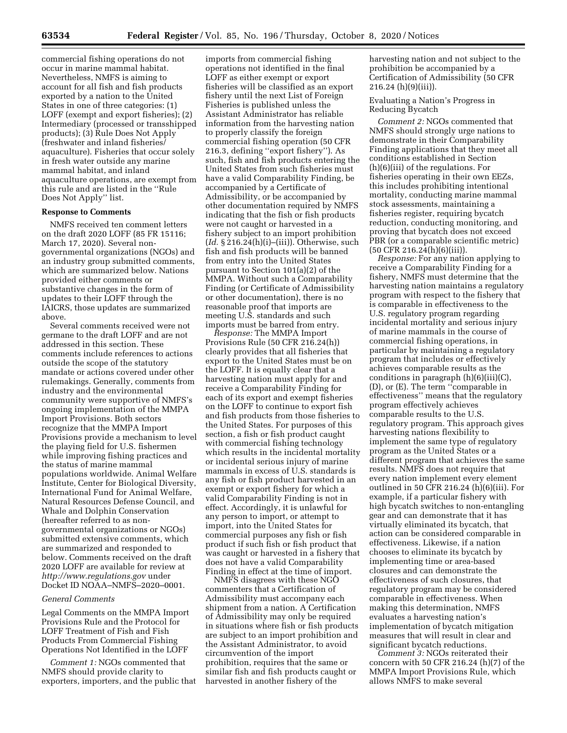commercial fishing operations do not occur in marine mammal habitat. Nevertheless, NMFS is aiming to account for all fish and fish products exported by a nation to the United States in one of three categories: (1) LOFF (exempt and export fisheries); (2) Intermediary (processed or transshipped products); (3) Rule Does Not Apply (freshwater and inland fisheries/ aquaculture). Fisheries that occur solely in fresh water outside any marine mammal habitat, and inland aquaculture operations, are exempt from this rule and are listed in the ''Rule Does Not Apply'' list.

# **Response to Comments**

NMFS received ten comment letters on the draft 2020 LOFF (85 FR 15116; March 17, 2020). Several nongovernmental organizations (NGOs) and an industry group submitted comments, which are summarized below. Nations provided either comments or substantive changes in the form of updates to their LOFF through the IAICRS, those updates are summarized above.

Several comments received were not germane to the draft LOFF and are not addressed in this section. These comments include references to actions outside the scope of the statutory mandate or actions covered under other rulemakings. Generally, comments from industry and the environmental community were supportive of NMFS's ongoing implementation of the MMPA Import Provisions. Both sectors recognize that the MMPA Import Provisions provide a mechanism to level the playing field for U.S. fishermen while improving fishing practices and the status of marine mammal populations worldwide. Animal Welfare Institute, Center for Biological Diversity, International Fund for Animal Welfare, Natural Resources Defense Council, and Whale and Dolphin Conservation (hereafter referred to as nongovernmental organizations or NGOs) submitted extensive comments, which are summarized and responded to below. Comments received on the draft 2020 LOFF are available for review at *<http://www.regulations.gov>* under Docket ID NOAA–NMFS–2020–0001.

### *General Comments*

Legal Comments on the MMPA Import Provisions Rule and the Protocol for LOFF Treatment of Fish and Fish Products From Commercial Fishing Operations Not Identified in the LOFF

*Comment 1:* NGOs commented that NMFS should provide clarity to exporters, importers, and the public that

imports from commercial fishing operations not identified in the final LOFF as either exempt or export fisheries will be classified as an export fishery until the next List of Foreign Fisheries is published unless the Assistant Administrator has reliable information from the harvesting nation to properly classify the foreign commercial fishing operation (50 CFR 216.3, defining ''export fishery''). As such, fish and fish products entering the United States from such fisheries must have a valid Comparability Finding, be accompanied by a Certificate of Admissibility, or be accompanied by other documentation required by NMFS indicating that the fish or fish products were not caught or harvested in a fishery subject to an import prohibition (*Id.* § 216.24(h)(i)–(iii)). Otherwise, such fish and fish products will be banned from entry into the United States pursuant to Section 101(a)(2) of the MMPA. Without such a Comparability Finding (or Certificate of Admissibility or other documentation), there is no reasonable proof that imports are meeting U.S. standards and such imports must be barred from entry.

*Response:* The MMPA Import Provisions Rule (50 CFR 216.24(h)) clearly provides that all fisheries that export to the United States must be on the LOFF. It is equally clear that a harvesting nation must apply for and receive a Comparability Finding for each of its export and exempt fisheries on the LOFF to continue to export fish and fish products from those fisheries to the United States. For purposes of this section, a fish or fish product caught with commercial fishing technology which results in the incidental mortality or incidental serious injury of marine mammals in excess of U.S. standards is any fish or fish product harvested in an exempt or export fishery for which a valid Comparability Finding is not in effect. Accordingly, it is unlawful for any person to import, or attempt to import, into the United States for commercial purposes any fish or fish product if such fish or fish product that was caught or harvested in a fishery that does not have a valid Comparability Finding in effect at the time of import.

NMFS disagrees with these NGO commenters that a Certification of Admissibility must accompany each shipment from a nation. A Certification of Admissibility may only be required in situations where fish or fish products are subject to an import prohibition and the Assistant Administrator, to avoid circumvention of the import prohibition, requires that the same or similar fish and fish products caught or harvested in another fishery of the

harvesting nation and not subject to the prohibition be accompanied by a Certification of Admissibility (50 CFR 216.24 (h)(9)(iii)).

Evaluating a Nation's Progress in Reducing Bycatch

*Comment 2:* NGOs commented that NMFS should strongly urge nations to demonstrate in their Comparability Finding applications that they meet all conditions established in Section (h)(6)(iii) of the regulations. For fisheries operating in their own EEZs, this includes prohibiting intentional mortality, conducting marine mammal stock assessments, maintaining a fisheries register, requiring bycatch reduction, conducting monitoring, and proving that bycatch does not exceed PBR (or a comparable scientific metric) (50 CFR 216.24(h)(6)(iii)).

*Response:* For any nation applying to receive a Comparability Finding for a fishery, NMFS must determine that the harvesting nation maintains a regulatory program with respect to the fishery that is comparable in effectiveness to the U.S. regulatory program regarding incidental mortality and serious injury of marine mammals in the course of commercial fishing operations, in particular by maintaining a regulatory program that includes or effectively achieves comparable results as the conditions in paragraph (h)(6)(iii)(C), (D), or (E). The term ''comparable in effectiveness'' means that the regulatory program effectively achieves comparable results to the U.S. regulatory program. This approach gives harvesting nations flexibility to implement the same type of regulatory program as the United States or a different program that achieves the same results. NMFS does not require that every nation implement every element outlined in 50 CFR 216.24 (h)(6)(iii). For example, if a particular fishery with high bycatch switches to non-entangling gear and can demonstrate that it has virtually eliminated its bycatch, that action can be considered comparable in effectiveness. Likewise, if a nation chooses to eliminate its bycatch by implementing time or area-based closures and can demonstrate the effectiveness of such closures, that regulatory program may be considered comparable in effectiveness. When making this determination, NMFS evaluates a harvesting nation's implementation of bycatch mitigation measures that will result in clear and significant bycatch reductions.

*Comment 3:* NGOs reiterated their concern with 50 CFR 216.24 (h)(7) of the MMPA Import Provisions Rule, which allows NMFS to make several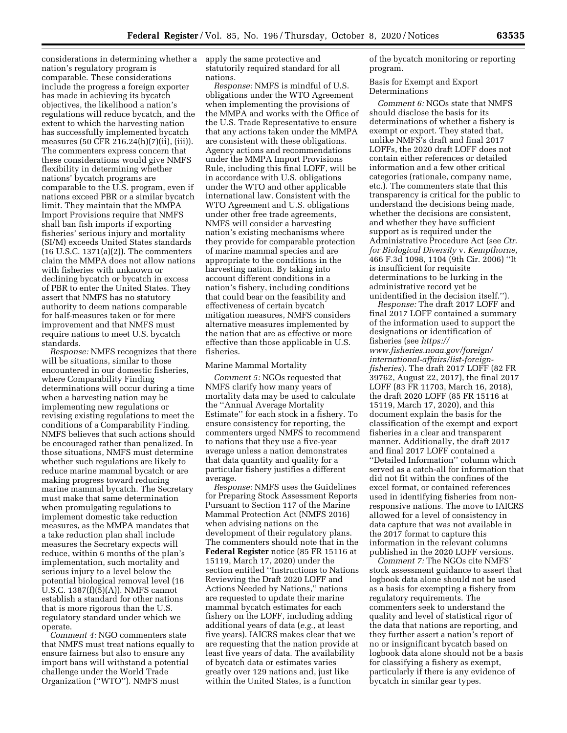considerations in determining whether a apply the same protective and nation's regulatory program is comparable. These considerations include the progress a foreign exporter has made in achieving its bycatch objectives, the likelihood a nation's regulations will reduce bycatch, and the extent to which the harvesting nation has successfully implemented bycatch measures (50 CFR 216.24(h)(7)(ii), (iii)). The commenters express concern that these considerations would give NMFS flexibility in determining whether nations' bycatch programs are comparable to the U.S. program, even if nations exceed PBR or a similar bycatch limit. They maintain that the MMPA Import Provisions require that NMFS shall ban fish imports if exporting fisheries' serious injury and mortality (SI/M) exceeds United States standards (16 U.S.C. 1371(a)(2)). The commenters claim the MMPA does not allow nations with fisheries with unknown or declining bycatch or bycatch in excess of PBR to enter the United States. They assert that NMFS has no statutory authority to deem nations comparable for half-measures taken or for mere improvement and that NMFS must require nations to meet U.S. bycatch standards.

*Response:* NMFS recognizes that there will be situations, similar to those encountered in our domestic fisheries, where Comparability Finding determinations will occur during a time when a harvesting nation may be implementing new regulations or revising existing regulations to meet the conditions of a Comparability Finding. NMFS believes that such actions should be encouraged rather than penalized. In those situations, NMFS must determine whether such regulations are likely to reduce marine mammal bycatch or are making progress toward reducing marine mammal bycatch. The Secretary must make that same determination when promulgating regulations to implement domestic take reduction measures, as the MMPA mandates that a take reduction plan shall include measures the Secretary expects will reduce, within 6 months of the plan's implementation, such mortality and serious injury to a level below the potential biological removal level (16 U.S.C. 1387(f)(5)(A)). NMFS cannot establish a standard for other nations that is more rigorous than the U.S. regulatory standard under which we operate.

*Comment 4:* NGO commenters state that NMFS must treat nations equally to ensure fairness but also to ensure any import bans will withstand a potential challenge under the World Trade Organization (''WTO''). NMFS must

statutorily required standard for all nations.

*Response:* NMFS is mindful of U.S. obligations under the WTO Agreement when implementing the provisions of the MMPA and works with the Office of the U.S. Trade Representative to ensure that any actions taken under the MMPA are consistent with these obligations. Agency actions and recommendations under the MMPA Import Provisions Rule, including this final LOFF, will be in accordance with U.S. obligations under the WTO and other applicable international law. Consistent with the WTO Agreement and U.S. obligations under other free trade agreements, NMFS will consider a harvesting nation's existing mechanisms where they provide for comparable protection of marine mammal species and are appropriate to the conditions in the harvesting nation. By taking into account different conditions in a nation's fishery, including conditions that could bear on the feasibility and effectiveness of certain bycatch mitigation measures, NMFS considers alternative measures implemented by the nation that are as effective or more effective than those applicable in U.S. fisheries.

#### Marine Mammal Mortality

*Comment 5:* NGOs requested that NMFS clarify how many years of mortality data may be used to calculate the ''Annual Average Mortality Estimate'' for each stock in a fishery. To ensure consistency for reporting, the commenters urged NMFS to recommend to nations that they use a five-year average unless a nation demonstrates that data quantity and quality for a particular fishery justifies a different average.

*Response:* NMFS uses the Guidelines for Preparing Stock Assessment Reports Pursuant to Section 117 of the Marine Mammal Protection Act (NMFS 2016) when advising nations on the development of their regulatory plans. The commenters should note that in the **Federal Register** notice (85 FR 15116 at 15119, March 17, 2020) under the section entitled ''Instructions to Nations Reviewing the Draft 2020 LOFF and Actions Needed by Nations,'' nations are requested to update their marine mammal bycatch estimates for each fishery on the LOFF, including adding additional years of data (*e.g.,* at least five years). IAICRS makes clear that we are requesting that the nation provide at least five years of data. The availability of bycatch data or estimates varies greatly over 129 nations and, just like within the United States, is a function

of the bycatch monitoring or reporting program.

Basis for Exempt and Export Determinations

*Comment 6:* NGOs state that NMFS should disclose the basis for its determinations of whether a fishery is exempt or export. They stated that, unlike NMFS's draft and final 2017 LOFFs, the 2020 draft LOFF does not contain either references or detailed information and a few other critical categories (rationale, company name, etc.). The commenters state that this transparency is critical for the public to understand the decisions being made, whether the decisions are consistent, and whether they have sufficient support as is required under the Administrative Procedure Act (see *Ctr. for Biological Diversity* v. *Kempthorne,*  466 F.3d 1098, 1104 (9th Cir. 2006) ''It is insufficient for requisite determinations to be lurking in the administrative record yet be unidentified in the decision itself.'').

*Response:* The draft 2017 LOFF and final 2017 LOFF contained a summary of the information used to support the designations or identification of fisheries (see *[https://](https://www.fisheries.noaa.gov/foreign/international-affairs/list-foreign-fisheries)*

*[www.fisheries.noaa.gov/foreign/](https://www.fisheries.noaa.gov/foreign/international-affairs/list-foreign-fisheries)  international-affairs/list-foreign[fisheries](https://www.fisheries.noaa.gov/foreign/international-affairs/list-foreign-fisheries)*). The draft 2017 LOFF (82 FR 39762, August 22, 2017), the final 2017 LOFF (83 FR 11703, March 16, 2018), the draft 2020 LOFF (85 FR 15116 at 15119, March 17, 2020), and this document explain the basis for the classification of the exempt and export fisheries in a clear and transparent manner. Additionally, the draft 2017 and final 2017 LOFF contained a ''Detailed Information'' column which served as a catch-all for information that did not fit within the confines of the excel format, or contained references used in identifying fisheries from nonresponsive nations. The move to IAICRS allowed for a level of consistency in data capture that was not available in the 2017 format to capture this information in the relevant columns published in the 2020 LOFF versions.

*Comment 7:* The NGOs cite NMFS' stock assessment guidance to assert that logbook data alone should not be used as a basis for exempting a fishery from regulatory requirements. The commenters seek to understand the quality and level of statistical rigor of the data that nations are reporting, and they further assert a nation's report of no or insignificant bycatch based on logbook data alone should not be a basis for classifying a fishery as exempt, particularly if there is any evidence of bycatch in similar gear types.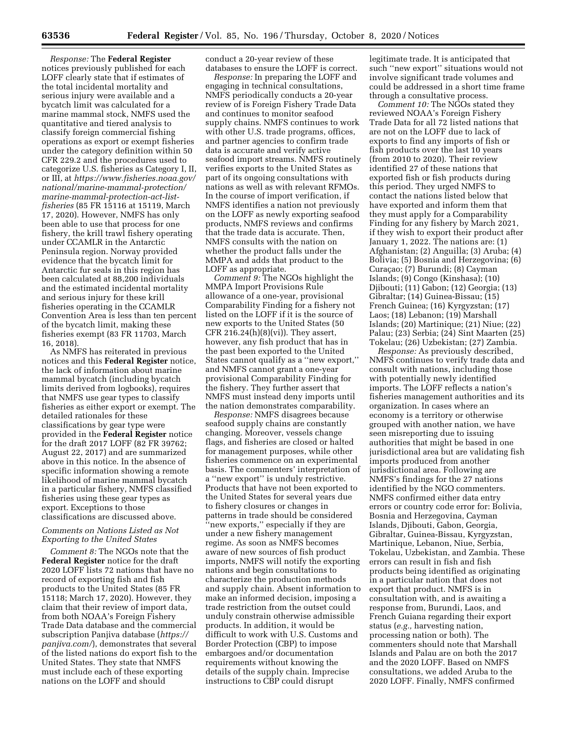*Response:* The **Federal Register**  notices previously published for each LOFF clearly state that if estimates of the total incidental mortality and serious injury were available and a bycatch limit was calculated for a marine mammal stock, NMFS used the quantitative and tiered analysis to classify foreign commercial fishing operations as export or exempt fisheries under the category definition within 50 CFR 229.2 and the procedures used to categorize U.S. fisheries as Category I, II, or III, at *[https://www.fisheries.noaa.gov/](https://www.fisheries.noaa.gov/national/marine-mammal-protection/marine-mammal-protection-act-list-fisheries)  [national/marine-mammal-protection/](https://www.fisheries.noaa.gov/national/marine-mammal-protection/marine-mammal-protection-act-list-fisheries)  [marine-mammal-protection-act-list](https://www.fisheries.noaa.gov/national/marine-mammal-protection/marine-mammal-protection-act-list-fisheries)[fisheries](https://www.fisheries.noaa.gov/national/marine-mammal-protection/marine-mammal-protection-act-list-fisheries)* (85 FR 15116 at 15119, March 17, 2020). However, NMFS has only been able to use that process for one fishery, the krill trawl fishery operating under CCAMLR in the Antarctic Peninsula region. Norway provided evidence that the bycatch limit for Antarctic fur seals in this region has been calculated at 88,200 individuals and the estimated incidental mortality and serious injury for these krill fisheries operating in the CCAMLR Convention Area is less than ten percent of the bycatch limit, making these fisheries exempt (83 FR 11703, March 16, 2018).

As NMFS has reiterated in previous notices and this **Federal Register** notice, the lack of information about marine mammal bycatch (including bycatch limits derived from logbooks), requires that NMFS use gear types to classify fisheries as either export or exempt. The detailed rationales for these classifications by gear type were provided in the **Federal Register** notice for the draft 2017 LOFF (82 FR 39762; August 22, 2017) and are summarized above in this notice. In the absence of specific information showing a remote likelihood of marine mammal bycatch in a particular fishery, NMFS classified fisheries using these gear types as export. Exceptions to those classifications are discussed above.

## *Comments on Nations Listed as Not Exporting to the United States*

*Comment 8:* The NGOs note that the **Federal Register** notice for the draft 2020 LOFF lists 72 nations that have no record of exporting fish and fish products to the United States (85 FR 15118; March 17, 2020). However, they claim that their review of import data, from both NOAA's Foreign Fishery Trade Data database and the commercial subscription Panjiva database (*[https://](https://panjiva.com/) [panjiva.com/](https://panjiva.com/)*), demonstrates that several of the listed nations do export fish to the United States. They state that NMFS must include each of these exporting nations on the LOFF and should

conduct a 20-year review of these databases to ensure the LOFF is correct.

*Response:* In preparing the LOFF and engaging in technical consultations, NMFS periodically conducts a 20-year review of is Foreign Fishery Trade Data and continues to monitor seafood supply chains. NMFS continues to work with other U.S. trade programs, offices, and partner agencies to confirm trade data is accurate and verify active seafood import streams. NMFS routinely verifies exports to the United States as part of its ongoing consultations with nations as well as with relevant RFMOs. In the course of import verification, if NMFS identifies a nation not previously on the LOFF as newly exporting seafood products, NMFS reviews and confirms that the trade data is accurate. Then, NMFS consults with the nation on whether the product falls under the MMPA and adds that product to the LOFF as appropriate.

*Comment 9:* The NGOs highlight the MMPA Import Provisions Rule allowance of a one-year, provisional Comparability Finding for a fishery not listed on the LOFF if it is the source of new exports to the United States (50 CFR  $216.24(h)(8)(vi)$ . They assert, however, any fish product that has in the past been exported to the United States cannot qualify as a ''new export,'' and NMFS cannot grant a one-year provisional Comparability Finding for the fishery. They further assert that NMFS must instead deny imports until the nation demonstrates comparability.

*Response:* NMFS disagrees because seafood supply chains are constantly changing. Moreover, vessels change flags, and fisheries are closed or halted for management purposes, while other fisheries commence on an experimental basis. The commenters' interpretation of a ''new export'' is unduly restrictive. Products that have not been exported to the United States for several years due to fishery closures or changes in patterns in trade should be considered ''new exports,'' especially if they are under a new fishery management regime. As soon as NMFS becomes aware of new sources of fish product imports, NMFS will notify the exporting nations and begin consultations to characterize the production methods and supply chain. Absent information to make an informed decision, imposing a trade restriction from the outset could unduly constrain otherwise admissible products. In addition, it would be difficult to work with U.S. Customs and Border Protection (CBP) to impose embargoes and/or documentation requirements without knowing the details of the supply chain. Imprecise instructions to CBP could disrupt

legitimate trade. It is anticipated that such ''new export'' situations would not involve significant trade volumes and could be addressed in a short time frame through a consultative process.

*Comment 10:* The NGOs stated they reviewed NOAA's Foreign Fishery Trade Data for all 72 listed nations that are not on the LOFF due to lack of exports to find any imports of fish or fish products over the last 10 years (from 2010 to 2020). Their review identified 27 of these nations that exported fish or fish products during this period. They urged NMFS to contact the nations listed below that have exported and inform them that they must apply for a Comparability Finding for any fishery by March 2021, if they wish to export their product after January 1, 2022. The nations are: (1) Afghanistan; (2) Anguilla; (3) Aruba; (4) Bolivia; (5) Bosnia and Herzegovina; (6) Curaçao; (7) Burundi; (8) Cayman Islands; (9) Congo (Kinshasa); (10) Djibouti; (11) Gabon; (12) Georgia; (13) Gibraltar; (14) Guinea-Bissau; (15) French Guinea; (16) Kyrgyzstan; (17) Laos; (18) Lebanon; (19) Marshall Islands; (20) Martinique; (21) Niue; (22) Palau; (23) Serbia; (24) Sint Maarten (25) Tokelau; (26) Uzbekistan; (27) Zambia.

*Response:* As previously described, NMFS continues to verify trade data and consult with nations, including those with potentially newly identified imports. The LOFF reflects a nation's fisheries management authorities and its organization. In cases where an economy is a territory or otherwise grouped with another nation, we have seen misreporting due to issuing authorities that might be based in one jurisdictional area but are validating fish imports produced from another jurisdictional area. Following are NMFS's findings for the 27 nations identified by the NGO commenters. NMFS confirmed either data entry errors or country code error for: Bolivia, Bosnia and Herzegovina, Cayman Islands, Djibouti, Gabon, Georgia, Gibraltar, Guinea-Bissau, Kyrgyzstan, Martinique, Lebanon, Niue, Serbia, Tokelau, Uzbekistan, and Zambia. These errors can result in fish and fish products being identified as originating in a particular nation that does not export that product. NMFS is in consultation with, and is awaiting a response from, Burundi, Laos, and French Guiana regarding their export status (*e.g.,* harvesting nation, processing nation or both). The commenters should note that Marshall Islands and Palau are on both the 2017 and the 2020 LOFF. Based on NMFS consultations, we added Aruba to the 2020 LOFF. Finally, NMFS confirmed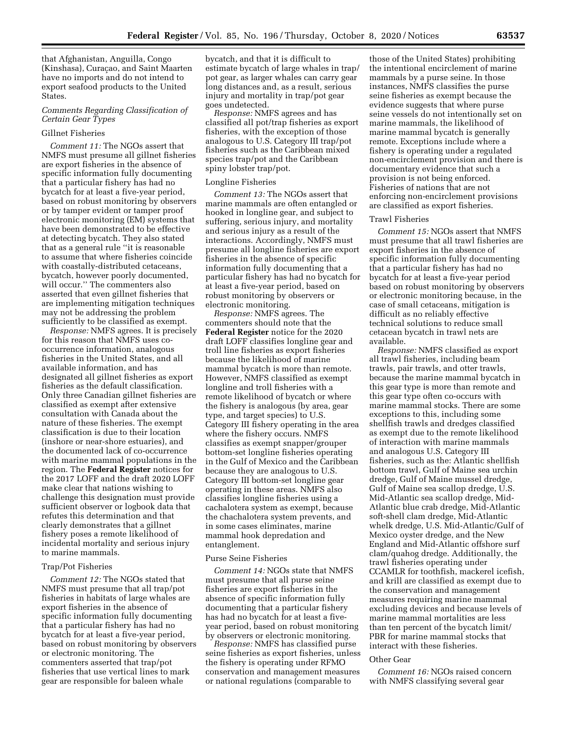that Afghanistan, Anguilla, Congo (Kinshasa), Curaçao, and Saint Maarten have no imports and do not intend to export seafood products to the United States.

## *Comments Regarding Classification of Certain Gear Types*

### Gillnet Fisheries

*Comment 11:* The NGOs assert that NMFS must presume all gillnet fisheries are export fisheries in the absence of specific information fully documenting that a particular fishery has had no bycatch for at least a five-year period, based on robust monitoring by observers or by tamper evident or tamper proof electronic monitoring (EM) systems that have been demonstrated to be effective at detecting bycatch. They also stated that as a general rule ''it is reasonable to assume that where fisheries coincide with coastally-distributed cetaceans, bycatch, however poorly documented, will occur.'' The commenters also asserted that even gillnet fisheries that are implementing mitigation techniques may not be addressing the problem sufficiently to be classified as exempt.

*Response:* NMFS agrees. It is precisely for this reason that NMFS uses cooccurrence information, analogous fisheries in the United States, and all available information, and has designated all gillnet fisheries as export fisheries as the default classification. Only three Canadian gillnet fisheries are classified as exempt after extensive consultation with Canada about the nature of these fisheries. The exempt classification is due to their location (inshore or near-shore estuaries), and the documented lack of co-occurrence with marine mammal populations in the region. The **Federal Register** notices for the 2017 LOFF and the draft 2020 LOFF make clear that nations wishing to challenge this designation must provide sufficient observer or logbook data that refutes this determination and that clearly demonstrates that a gillnet fishery poses a remote likelihood of incidental mortality and serious injury to marine mammals.

## Trap/Pot Fisheries

*Comment 12:* The NGOs stated that NMFS must presume that all trap/pot fisheries in habitats of large whales are export fisheries in the absence of specific information fully documenting that a particular fishery has had no bycatch for at least a five-year period, based on robust monitoring by observers or electronic monitoring. The commenters asserted that trap/pot fisheries that use vertical lines to mark gear are responsible for baleen whale

bycatch, and that it is difficult to estimate bycatch of large whales in trap/ pot gear, as larger whales can carry gear long distances and, as a result, serious injury and mortality in trap/pot gear goes undetected.

*Response:* NMFS agrees and has classified all pot/trap fisheries as export fisheries, with the exception of those analogous to U.S. Category III trap/pot fisheries such as the Caribbean mixed species trap/pot and the Caribbean spiny lobster trap/pot.

#### Longline Fisheries

*Comment 13:* The NGOs assert that marine mammals are often entangled or hooked in longline gear, and subject to suffering, serious injury, and mortality and serious injury as a result of the interactions. Accordingly, NMFS must presume all longline fisheries are export fisheries in the absence of specific information fully documenting that a particular fishery has had no bycatch for at least a five-year period, based on robust monitoring by observers or electronic monitoring.

*Response:* NMFS agrees. The commenters should note that the **Federal Register** notice for the 2020 draft LOFF classifies longline gear and troll line fisheries as export fisheries because the likelihood of marine mammal bycatch is more than remote. However, NMFS classified as exempt longline and troll fisheries with a remote likelihood of bycatch or where the fishery is analogous (by area, gear type, and target species) to U.S. Category III fishery operating in the area where the fishery occurs. NMFS classifies as exempt snapper/grouper bottom-set longline fisheries operating in the Gulf of Mexico and the Caribbean because they are analogous to U.S. Category III bottom-set longline gear operating in these areas. NMFS also classifies longline fisheries using a cachalotera system as exempt, because the chachalotera system prevents, and in some cases eliminates, marine mammal hook depredation and entanglement.

#### Purse Seine Fisheries

*Comment 14:* NGOs state that NMFS must presume that all purse seine fisheries are export fisheries in the absence of specific information fully documenting that a particular fishery has had no bycatch for at least a fiveyear period, based on robust monitoring by observers or electronic monitoring.

*Response:* NMFS has classified purse seine fisheries as export fisheries, unless the fishery is operating under RFMO conservation and management measures or national regulations (comparable to

those of the United States) prohibiting the intentional encirclement of marine mammals by a purse seine. In those instances, NMFS classifies the purse seine fisheries as exempt because the evidence suggests that where purse seine vessels do not intentionally set on marine mammals, the likelihood of marine mammal bycatch is generally remote. Exceptions include where a fishery is operating under a regulated non-encirclement provision and there is documentary evidence that such a provision is not being enforced. Fisheries of nations that are not enforcing non-encirclement provisions are classified as export fisheries.

### Trawl Fisheries

*Comment 15:* NGOs assert that NMFS must presume that all trawl fisheries are export fisheries in the absence of specific information fully documenting that a particular fishery has had no bycatch for at least a five-year period based on robust monitoring by observers or electronic monitoring because, in the case of small cetaceans, mitigation is difficult as no reliably effective technical solutions to reduce small cetacean bycatch in trawl nets are available.

*Response:* NMFS classified as export all trawl fisheries, including beam trawls, pair trawls, and otter trawls, because the marine mammal bycatch in this gear type is more than remote and this gear type often co-occurs with marine mammal stocks. There are some exceptions to this, including some shellfish trawls and dredges classified as exempt due to the remote likelihood of interaction with marine mammals and analogous U.S. Category III fisheries, such as the: Atlantic shellfish bottom trawl, Gulf of Maine sea urchin dredge, Gulf of Maine mussel dredge, Gulf of Maine sea scallop dredge, U.S. Mid-Atlantic sea scallop dredge, Mid-Atlantic blue crab dredge, Mid-Atlantic soft-shell clam dredge, Mid-Atlantic whelk dredge, U.S. Mid-Atlantic/Gulf of Mexico oyster dredge, and the New England and Mid-Atlantic offshore surf clam/quahog dredge. Additionally, the trawl fisheries operating under CCAMLR for toothfish, mackerel icefish, and krill are classified as exempt due to the conservation and management measures requiring marine mammal excluding devices and because levels of marine mammal mortalities are less than ten percent of the bycatch limit/ PBR for marine mammal stocks that interact with these fisheries.

### Other Gear

*Comment 16:* NGOs raised concern with NMFS classifying several gear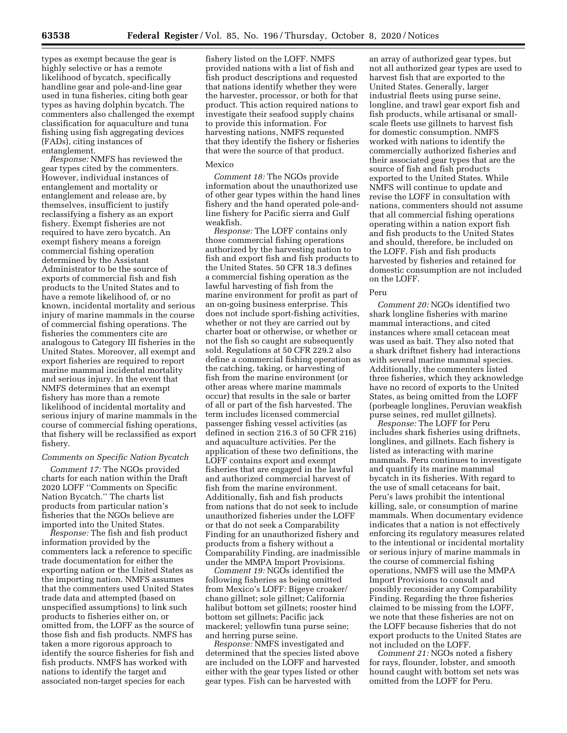types as exempt because the gear is highly selective or has a remote likelihood of bycatch, specifically handline gear and pole-and-line gear used in tuna fisheries, citing both gear types as having dolphin bycatch. The commenters also challenged the exempt classification for aquaculture and tuna fishing using fish aggregating devices (FADs), citing instances of entanglement.

*Response:* NMFS has reviewed the gear types cited by the commenters. However, individual instances of entanglement and mortality or entanglement and release are, by themselves, insufficient to justify reclassifying a fishery as an export fishery. Exempt fisheries are not required to have zero bycatch. An exempt fishery means a foreign commercial fishing operation determined by the Assistant Administrator to be the source of exports of commercial fish and fish products to the United States and to have a remote likelihood of, or no known, incidental mortality and serious injury of marine mammals in the course of commercial fishing operations. The fisheries the commenters cite are analogous to Category III fisheries in the United States. Moreover, all exempt and export fisheries are required to report marine mammal incidental mortality and serious injury. In the event that NMFS determines that an exempt fishery has more than a remote likelihood of incidental mortality and serious injury of marine mammals in the course of commercial fishing operations, that fishery will be reclassified as export fishery.

## *Comments on Specific Nation Bycatch*

*Comment 17:* The NGOs provided charts for each nation within the Draft 2020 LOFF ''Comments on Specific Nation Bycatch.'' The charts list products from particular nation's fisheries that the NGOs believe are imported into the United States.

*Response:* The fish and fish product information provided by the commenters lack a reference to specific trade documentation for either the exporting nation or the United States as the importing nation. NMFS assumes that the commenters used United States trade data and attempted (based on unspecified assumptions) to link such products to fisheries either on, or omitted from, the LOFF as the source of those fish and fish products. NMFS has taken a more rigorous approach to identify the source fisheries for fish and fish products. NMFS has worked with nations to identify the target and associated non-target species for each

fishery listed on the LOFF. NMFS provided nations with a list of fish and fish product descriptions and requested that nations identify whether they were the harvester, processor, or both for that product. This action required nations to investigate their seafood supply chains to provide this information. For harvesting nations, NMFS requested that they identify the fishery or fisheries that were the source of that product.

#### Mexico

*Comment 18:* The NGOs provide information about the unauthorized use of other gear types within the hand lines fishery and the hand operated pole-andline fishery for Pacific sierra and Gulf weakfish.

*Response:* The LOFF contains only those commercial fishing operations authorized by the harvesting nation to fish and export fish and fish products to the United States. 50 CFR 18.3 defines a commercial fishing operation as the lawful harvesting of fish from the marine environment for profit as part of an on-going business enterprise. This does not include sport-fishing activities, whether or not they are carried out by charter boat or otherwise, or whether or not the fish so caught are subsequently sold. Regulations at 50 CFR 229.2 also define a commercial fishing operation as the catching, taking, or harvesting of fish from the marine environment (or other areas where marine mammals occur) that results in the sale or barter of all or part of the fish harvested. The term includes licensed commercial passenger fishing vessel activities (as defined in section 216.3 of 50 CFR 216) and aquaculture activities. Per the application of these two definitions, the LOFF contains export and exempt fisheries that are engaged in the lawful and authorized commercial harvest of fish from the marine environment. Additionally, fish and fish products from nations that do not seek to include unauthorized fisheries under the LOFF or that do not seek a Comparability Finding for an unauthorized fishery and products from a fishery without a Comparability Finding, are inadmissible under the MMPA Import Provisions.

*Comment 19:* NGOs identified the following fisheries as being omitted from Mexico's LOFF: Bigeye croaker/ chano gillnet; sole gillnet; California halibut bottom set gillnets; rooster hind bottom set gillnets; Pacific jack mackerel; yellowfin tuna purse seine; and herring purse seine.

*Response:* NMFS investigated and determined that the species listed above are included on the LOFF and harvested either with the gear types listed or other gear types. Fish can be harvested with

an array of authorized gear types, but not all authorized gear types are used to harvest fish that are exported to the United States. Generally, larger industrial fleets using purse seine, longline, and trawl gear export fish and fish products, while artisanal or smallscale fleets use gillnets to harvest fish for domestic consumption. NMFS worked with nations to identify the commercially authorized fisheries and their associated gear types that are the source of fish and fish products exported to the United States. While NMFS will continue to update and revise the LOFF in consultation with nations, commenters should not assume that all commercial fishing operations operating within a nation export fish and fish products to the United States and should, therefore, be included on the LOFF. Fish and fish products harvested by fisheries and retained for domestic consumption are not included on the LOFF.

#### Peru

*Comment 20:* NGOs identified two shark longline fisheries with marine mammal interactions, and cited instances where small cetacean meat was used as bait. They also noted that a shark driftnet fishery had interactions with several marine mammal species. Additionally, the commenters listed three fisheries, which they acknowledge have no record of exports to the United States, as being omitted from the LOFF (porbeagle longlines, Peruvian weakfish purse seines, red mullet gillnets).

*Response:* The LOFF for Peru includes shark fisheries using driftnets, longlines, and gillnets. Each fishery is listed as interacting with marine mammals. Peru continues to investigate and quantify its marine mammal bycatch in its fisheries. With regard to the use of small cetaceans for bait, Peru's laws prohibit the intentional killing, sale, or consumption of marine mammals. When documentary evidence indicates that a nation is not effectively enforcing its regulatory measures related to the intentional or incidental mortality or serious injury of marine mammals in the course of commercial fishing operations, NMFS will use the MMPA Import Provisions to consult and possibly reconsider any Comparability Finding. Regarding the three fisheries claimed to be missing from the LOFF, we note that these fisheries are not on the LOFF because fisheries that do not export products to the United States are not included on the LOFF.

*Comment 21:* NGOs noted a fishery for rays, flounder, lobster, and smooth hound caught with bottom set nets was omitted from the LOFF for Peru.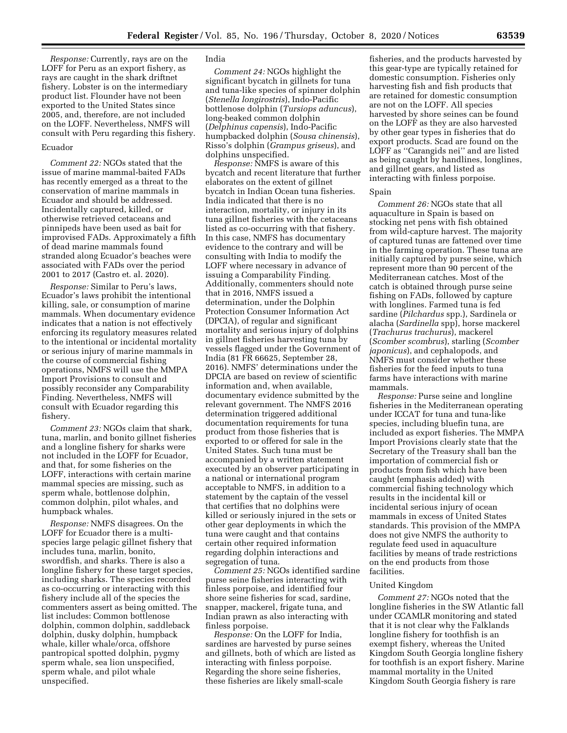*Response:* Currently, rays are on the LOFF for Peru as an export fishery, as rays are caught in the shark driftnet fishery. Lobster is on the intermediary product list. Flounder have not been exported to the United States since 2005, and, therefore, are not included on the LOFF. Nevertheless, NMFS will consult with Peru regarding this fishery.

## Ecuador

*Comment 22:* NGOs stated that the issue of marine mammal-baited FADs has recently emerged as a threat to the conservation of marine mammals in Ecuador and should be addressed. Incidentally captured, killed, or otherwise retrieved cetaceans and pinnipeds have been used as bait for improvised FADs. Approximately a fifth of dead marine mammals found stranded along Ecuador's beaches were associated with FADs over the period 2001 to 2017 (Castro et. al. 2020).

*Response:* Similar to Peru's laws, Ecuador's laws prohibit the intentional killing, sale, or consumption of marine mammals. When documentary evidence indicates that a nation is not effectively enforcing its regulatory measures related to the intentional or incidental mortality or serious injury of marine mammals in the course of commercial fishing operations, NMFS will use the MMPA Import Provisions to consult and possibly reconsider any Comparability Finding. Nevertheless, NMFS will consult with Ecuador regarding this fishery.

*Comment 23:* NGOs claim that shark, tuna, marlin, and bonito gillnet fisheries and a longline fishery for sharks were not included in the LOFF for Ecuador, and that, for some fisheries on the LOFF, interactions with certain marine mammal species are missing, such as sperm whale, bottlenose dolphin, common dolphin, pilot whales, and humpback whales.

*Response:* NMFS disagrees. On the LOFF for Ecuador there is a multispecies large pelagic gillnet fishery that includes tuna, marlin, bonito, swordfish, and sharks. There is also a longline fishery for these target species, including sharks. The species recorded as co-occurring or interacting with this fishery include all of the species the commenters assert as being omitted. The list includes: Common bottlenose dolphin, common dolphin, saddleback dolphin, dusky dolphin, humpback whale, killer whale/orca, offshore pantropical spotted dolphin, pygmy sperm whale, sea lion unspecified, sperm whale, and pilot whale unspecified.

## India

*Comment 24:* NGOs highlight the significant bycatch in gillnets for tuna and tuna-like species of spinner dolphin (*Stenella longirostris*), Indo-Pacific bottlenose dolphin (*Tursiops aduncus*), long-beaked common dolphin (*Delphinus capensis*), Indo-Pacific humpbacked dolphin (*Sousa chinensis*), Risso's dolphin (*Grampus griseus*), and dolphins unspecified.

*Response:* NMFS is aware of this bycatch and recent literature that further elaborates on the extent of gillnet bycatch in Indian Ocean tuna fisheries. India indicated that there is no interaction, mortality, or injury in its tuna gillnet fisheries with the cetaceans listed as co-occurring with that fishery. In this case, NMFS has documentary evidence to the contrary and will be consulting with India to modify the LOFF where necessary in advance of issuing a Comparability Finding. Additionally, commenters should note that in 2016, NMFS issued a determination, under the Dolphin Protection Consumer Information Act (DPCIA), of regular and significant mortality and serious injury of dolphins in gillnet fisheries harvesting tuna by vessels flagged under the Government of India (81 FR 66625, September 28, 2016). NMFS' determinations under the DPCIA are based on review of scientific information and, when available, documentary evidence submitted by the relevant government. The NMFS 2016 determination triggered additional documentation requirements for tuna product from those fisheries that is exported to or offered for sale in the United States. Such tuna must be accompanied by a written statement executed by an observer participating in a national or international program acceptable to NMFS, in addition to a statement by the captain of the vessel that certifies that no dolphins were killed or seriously injured in the sets or other gear deployments in which the tuna were caught and that contains certain other required information regarding dolphin interactions and segregation of tuna.

*Comment 25:* NGOs identified sardine purse seine fisheries interacting with finless porpoise, and identified four shore seine fisheries for scad, sardine, snapper, mackerel, frigate tuna, and Indian prawn as also interacting with finless porpoise.

*Response:* On the LOFF for India, sardines are harvested by purse seines and gillnets, both of which are listed as interacting with finless porpoise. Regarding the shore seine fisheries, these fisheries are likely small-scale

fisheries, and the products harvested by this gear-type are typically retained for domestic consumption. Fisheries only harvesting fish and fish products that are retained for domestic consumption are not on the LOFF. All species harvested by shore seines can be found on the LOFF as they are also harvested by other gear types in fisheries that do export products. Scad are found on the LOFF as ''Carangids nei'' and are listed as being caught by handlines, longlines, and gillnet gears, and listed as interacting with finless porpoise.

#### Spain

*Comment 26:* NGOs state that all aquaculture in Spain is based on stocking net pens with fish obtained from wild-capture harvest. The majority of captured tunas are fattened over time in the farming operation. These tuna are initially captured by purse seine, which represent more than 90 percent of the Mediterranean catches. Most of the catch is obtained through purse seine fishing on FADs, followed by capture with longlines. Farmed tuna is fed sardine (*Pilchardus* spp.), Sardinela or alacha (*Sardinella* spp), horse mackerel (*Trachurus trachurus*), mackerel (*Scomber scombrus*), starling (*Scomber japonicus*), and cephalopods, and NMFS must consider whether these fisheries for the feed inputs to tuna farms have interactions with marine mammals.

*Response:* Purse seine and longline fisheries in the Mediterranean operating under ICCAT for tuna and tuna-like species, including bluefin tuna, are included as export fisheries. The MMPA Import Provisions clearly state that the Secretary of the Treasury shall ban the importation of commercial fish or products from fish which have been caught (emphasis added) with commercial fishing technology which results in the incidental kill or incidental serious injury of ocean mammals in excess of United States standards. This provision of the MMPA does not give NMFS the authority to regulate feed used in aquaculture facilities by means of trade restrictions on the end products from those facilities.

#### United Kingdom

*Comment 27:* NGOs noted that the longline fisheries in the SW Atlantic fall under CCAMLR monitoring and stated that it is not clear why the Falklands longline fishery for toothfish is an exempt fishery, whereas the United Kingdom South Georgia longline fishery for toothfish is an export fishery. Marine mammal mortality in the United Kingdom South Georgia fishery is rare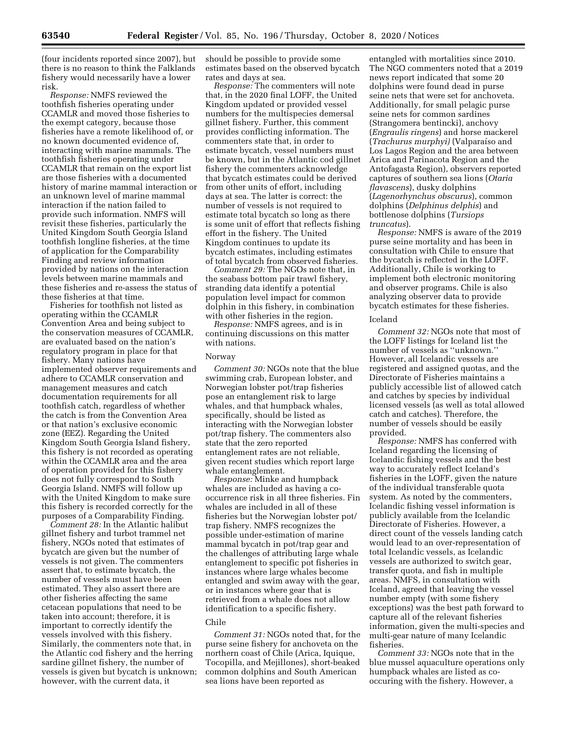(four incidents reported since 2007), but there is no reason to think the Falklands fishery would necessarily have a lower risk.

*Response:* NMFS reviewed the toothfish fisheries operating under CCAMLR and moved those fisheries to the exempt category, because those fisheries have a remote likelihood of, or no known documented evidence of, interacting with marine mammals. The toothfish fisheries operating under CCAMLR that remain on the export list are those fisheries with a documented history of marine mammal interaction or an unknown level of marine mammal interaction if the nation failed to provide such information. NMFS will revisit these fisheries, particularly the United Kingdom South Georgia Island toothfish longline fisheries, at the time of application for the Comparability Finding and review information provided by nations on the interaction levels between marine mammals and these fisheries and re-assess the status of these fisheries at that time.

Fisheries for toothfish not listed as operating within the CCAMLR Convention Area and being subject to the conservation measures of CCAMLR, are evaluated based on the nation's regulatory program in place for that fishery. Many nations have implemented observer requirements and adhere to CCAMLR conservation and management measures and catch documentation requirements for all toothfish catch, regardless of whether the catch is from the Convention Area or that nation's exclusive economic zone (EEZ). Regarding the United Kingdom South Georgia Island fishery, this fishery is not recorded as operating within the CCAMLR area and the area of operation provided for this fishery does not fully correspond to South Georgia Island. NMFS will follow up with the United Kingdom to make sure this fishery is recorded correctly for the purposes of a Comparability Finding.

*Comment 28:* In the Atlantic halibut gillnet fishery and turbot trammel net fishery, NGOs noted that estimates of bycatch are given but the number of vessels is not given. The commenters assert that, to estimate bycatch, the number of vessels must have been estimated. They also assert there are other fisheries affecting the same cetacean populations that need to be taken into account; therefore, it is important to correctly identify the vessels involved with this fishery. Similarly, the commenters note that, in the Atlantic cod fishery and the herring sardine gillnet fishery, the number of vessels is given but bycatch is unknown; however, with the current data, it

should be possible to provide some estimates based on the observed bycatch rates and days at sea.

*Response:* The commenters will note that, in the 2020 final LOFF, the United Kingdom updated or provided vessel numbers for the multispecies demersal gillnet fishery. Further, this comment provides conflicting information. The commenters state that, in order to estimate bycatch, vessel numbers must be known, but in the Atlantic cod gillnet fishery the commenters acknowledge that bycatch estimates could be derived from other units of effort, including days at sea. The latter is correct: the number of vessels is not required to estimate total bycatch so long as there is some unit of effort that reflects fishing effort in the fishery. The United Kingdom continues to update its bycatch estimates, including estimates of total bycatch from observed fisheries.

*Comment 29:* The NGOs note that, in the seabass bottom pair trawl fishery, stranding data identify a potential population level impact for common dolphin in this fishery, in combination with other fisheries in the region.

*Response:* NMFS agrees, and is in continuing discussions on this matter with nations.

## Norway

*Comment 30:* NGOs note that the blue swimming crab, European lobster, and Norwegian lobster pot/trap fisheries pose an entanglement risk to large whales, and that humpback whales, specifically, should be listed as interacting with the Norwegian lobster pot/trap fishery. The commenters also state that the zero reported entanglement rates are not reliable, given recent studies which report large whale entanglement.

*Response:* Minke and humpback whales are included as having a cooccurrence risk in all three fisheries. Fin whales are included in all of these fisheries but the Norwegian lobster pot/ trap fishery. NMFS recognizes the possible under-estimation of marine mammal bycatch in pot/trap gear and the challenges of attributing large whale entanglement to specific pot fisheries in instances where large whales become entangled and swim away with the gear, or in instances where gear that is retrieved from a whale does not allow identification to a specific fishery.

### Chile

*Comment 31:* NGOs noted that, for the purse seine fishery for anchoveta on the northern coast of Chile (Arica, Iquique, Tocopilla, and Mejillones), short-beaked common dolphins and South American sea lions have been reported as

entangled with mortalities since 2010. The NGO commenters noted that a 2019 news report indicated that some 20 dolphins were found dead in purse seine nets that were set for anchoveta. Additionally, for small pelagic purse seine nets for common sardines (Strangomera bentincki), anchovy (*Engraulis ringens*) and horse mackerel (*Trachurus murphyi)* (Valparaı´so and Los Lagos Region and the area between Arica and Parinacota Region and the Antofagasta Region), observers reported captures of southern sea lions (*Otaria flavascens*), dusky dolphins (*Lagenorhynchus obscurus*), common dolphins (*Delphinus delphis*) and bottlenose dolphins (*Tursiops truncatus*).

*Response:* NMFS is aware of the 2019 purse seine mortality and has been in consultation with Chile to ensure that the bycatch is reflected in the LOFF. Additionally, Chile is working to implement both electronic monitoring and observer programs. Chile is also analyzing observer data to provide bycatch estimates for these fisheries.

#### Iceland

*Comment 32:* NGOs note that most of the LOFF listings for Iceland list the number of vessels as ''unknown.'' However, all Icelandic vessels are registered and assigned quotas, and the Directorate of Fisheries maintains a publicly accessible list of allowed catch and catches by species by individual licensed vessels (as well as total allowed catch and catches). Therefore, the number of vessels should be easily provided.

*Response:* NMFS has conferred with Iceland regarding the licensing of Icelandic fishing vessels and the best way to accurately reflect Iceland's fisheries in the LOFF, given the nature of the individual transferable quota system. As noted by the commenters, Icelandic fishing vessel information is publicly available from the Icelandic Directorate of Fisheries. However, a direct count of the vessels landing catch would lead to an over-representation of total Icelandic vessels, as Icelandic vessels are authorized to switch gear, transfer quota, and fish in multiple areas. NMFS, in consultation with Iceland, agreed that leaving the vessel number empty (with some fishery exceptions) was the best path forward to capture all of the relevant fisheries information, given the multi-species and multi-gear nature of many Icelandic fisheries.

*Comment 33:* NGOs note that in the blue mussel aquaculture operations only humpback whales are listed as cooccuring with the fishery. However, a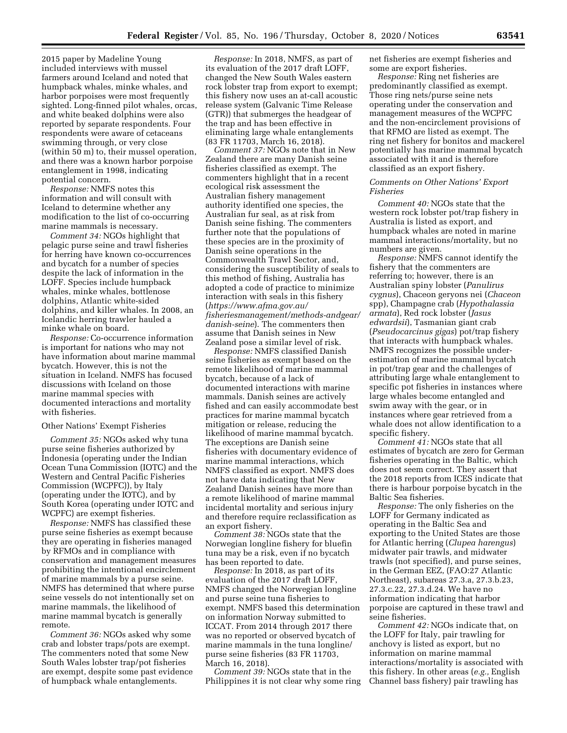2015 paper by Madeline Young included interviews with mussel farmers around Iceland and noted that humpback whales, minke whales, and harbor porpoises were most frequently sighted. Long-finned pilot whales, orcas, and white beaked dolphins were also reported by separate respondents. Four respondents were aware of cetaceans swimming through, or very close (within 50 m) to, their mussel operation, and there was a known harbor porpoise entanglement in 1998, indicating potential concern.

*Response:* NMFS notes this information and will consult with Iceland to determine whether any modification to the list of co-occurring marine mammals is necessary.

*Comment 34:* NGOs highlight that pelagic purse seine and trawl fisheries for herring have known co-occurrences and bycatch for a number of species despite the lack of information in the LOFF. Species include humpback whales, minke whales, bottlenose dolphins, Atlantic white-sided dolphins, and killer whales. In 2008, an Icelandic herring trawler hauled a minke whale on board.

*Response:* Co-occurrence information is important for nations who may not have information about marine mammal bycatch. However, this is not the situation in Iceland. NMFS has focused discussions with Iceland on those marine mammal species with documented interactions and mortality with fisheries.

### Other Nations' Exempt Fisheries

*Comment 35:* NGOs asked why tuna purse seine fisheries authorized by Indonesia (operating under the Indian Ocean Tuna Commission (IOTC) and the Western and Central Pacific Fisheries Commission (WCPFC)), by Italy (operating under the IOTC), and by South Korea (operating under IOTC and WCPFC) are exempt fisheries.

*Response:* NMFS has classified these purse seine fisheries as exempt because they are operating in fisheries managed by RFMOs and in compliance with conservation and management measures prohibiting the intentional encirclement of marine mammals by a purse seine. NMFS has determined that where purse seine vessels do not intentionally set on marine mammals, the likelihood of marine mammal bycatch is generally remote.

*Comment 36:* NGOs asked why some crab and lobster traps/pots are exempt. The commenters noted that some New South Wales lobster trap/pot fisheries are exempt, despite some past evidence of humpback whale entanglements.

*Response:* In 2018, NMFS, as part of its evaluation of the 2017 draft LOFF, changed the New South Wales eastern rock lobster trap from export to exempt; this fishery now uses an at-call acoustic release system (Galvanic Time Release (GTR)) that submerges the headgear of the trap and has been effective in eliminating large whale entanglements (83 FR 11703, March 16, 2018).

*Comment 37:* NGOs note that in New Zealand there are many Danish seine fisheries classified as exempt. The commenters highlight that in a recent ecological risk assessment the Australian fishery management authority identified one species, the Australian fur seal, as at risk from Danish seine fishing. The commenters further note that the populations of these species are in the proximity of Danish seine operations in the Commonwealth Trawl Sector, and, considering the susceptibility of seals to this method of fishing, Australia has adopted a code of practice to minimize interaction with seals in this fishery (*[https://www.afma.gov.au/](https://www.afma.gov.au/fisheriesmanagement/methods-andgear/danish-seine)  [fisheriesmanagement/methods-andgear/](https://www.afma.gov.au/fisheriesmanagement/methods-andgear/danish-seine) [danish-seine](https://www.afma.gov.au/fisheriesmanagement/methods-andgear/danish-seine)*). The commenters then assume that Danish seines in New Zealand pose a similar level of risk.

*Response:* NMFS classified Danish seine fisheries as exempt based on the remote likelihood of marine mammal bycatch, because of a lack of documented interactions with marine mammals. Danish seines are actively fished and can easily accommodate best practices for marine mammal bycatch mitigation or release, reducing the likelihood of marine mammal bycatch. The exceptions are Danish seine fisheries with documentary evidence of marine mammal interactions, which NMFS classified as export. NMFS does not have data indicating that New Zealand Danish seines have more than a remote likelihood of marine mammal incidental mortality and serious injury and therefore require reclassification as an export fishery.

*Comment 38:* NGOs state that the Norwegian longline fishery for bluefin tuna may be a risk, even if no bycatch has been reported to date.

*Response:* In 2018, as part of its evaluation of the 2017 draft LOFF, NMFS changed the Norwegian longline and purse seine tuna fisheries to exempt. NMFS based this determination on information Norway submitted to ICCAT. From 2014 through 2017 there was no reported or observed bycatch of marine mammals in the tuna longline/ purse seine fisheries (83 FR 11703, March 16, 2018).

*Comment 39:* NGOs state that in the Philippines it is not clear why some ring net fisheries are exempt fisheries and some are export fisheries.

*Response:* Ring net fisheries are predominantly classified as exempt. Those ring nets/purse seine nets operating under the conservation and management measures of the WCPFC and the non-encirclement provisions of that RFMO are listed as exempt. The ring net fishery for bonitos and mackerel potentially has marine mammal bycatch associated with it and is therefore classified as an export fishery.

## *Comments on Other Nations' Export Fisheries*

*Comment 40:* NGOs state that the western rock lobster pot/trap fishery in Australia is listed as export, and humpback whales are noted in marine mammal interactions/mortality, but no numbers are given.

*Response:* NMFS cannot identify the fishery that the commenters are referring to; however, there is an Australian spiny lobster (*Panulirus cygnus*), Chaceon geryons nei (*Chaceon*  spp), Champagne crab (*Hypothalassia armata*), Red rock lobster (*Jasus edwardsii*), Tasmanian giant crab (*Pseudocarcinus gigas*) pot/trap fishery that interacts with humpback whales. NMFS recognizes the possible underestimation of marine mammal bycatch in pot/trap gear and the challenges of attributing large whale entanglement to specific pot fisheries in instances where large whales become entangled and swim away with the gear, or in instances where gear retrieved from a whale does not allow identification to a specific fishery.

*Comment 41:* NGOs state that all estimates of bycatch are zero for German fisheries operating in the Baltic, which does not seem correct. They assert that the 2018 reports from ICES indicate that there is harbour porpoise bycatch in the Baltic Sea fisheries.

*Response:* The only fisheries on the LOFF for Germany indicated as operating in the Baltic Sea and exporting to the United States are those for Atlantic herring (*Clupea harengus*) midwater pair trawls, and midwater trawls (not specified), and purse seines, in the German EEZ, (FAO:27 Atlantic Northeast), subareas 27.3.a, 27.3.b.23, 27.3.c.22, 27.3.d.24. We have no information indicating that harbor porpoise are captured in these trawl and seine fisheries.

*Comment 42:* NGOs indicate that, on the LOFF for Italy, pair trawling for anchovy is listed as export, but no information on marine mammal interactions/mortality is associated with this fishery. In other areas (*e.g.,* English Channel bass fishery) pair trawling has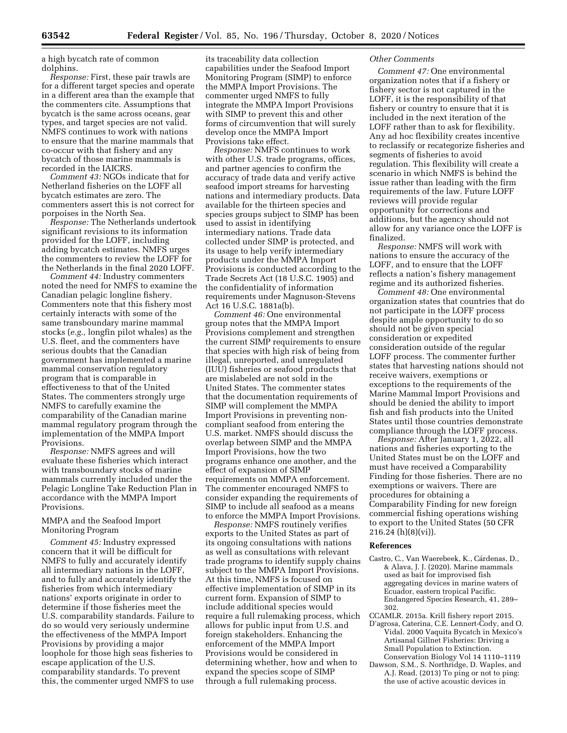a high bycatch rate of common dolphins.

*Response:* First, these pair trawls are for a different target species and operate in a different area than the example that the commenters cite. Assumptions that bycatch is the same across oceans, gear types, and target species are not valid. NMFS continues to work with nations to ensure that the marine mammals that co-occur with that fishery and any bycatch of those marine mammals is recorded in the IAICRS.

*Comment 43:* NGOs indicate that for Netherland fisheries on the LOFF all bycatch estimates are zero. The commenters assert this is not correct for porpoises in the North Sea.

*Response:* The Netherlands undertook significant revisions to its information provided for the LOFF, including adding bycatch estimates. NMFS urges the commenters to review the LOFF for the Netherlands in the final 2020 LOFF.

*Comment 44:* Industry commenters noted the need for NMFS to examine the Canadian pelagic longline fishery. Commenters note that this fishery most certainly interacts with some of the same transboundary marine mammal stocks (*e.g.,* longfin pilot whales) as the U.S. fleet, and the commenters have serious doubts that the Canadian government has implemented a marine mammal conservation regulatory program that is comparable in effectiveness to that of the United States. The commenters strongly urge NMFS to carefully examine the comparability of the Canadian marine mammal regulatory program through the implementation of the MMPA Import Provisions.

*Response:* NMFS agrees and will evaluate these fisheries which interact with transboundary stocks of marine mammals currently included under the Pelagic Longline Take Reduction Plan in accordance with the MMPA Import Provisions.

## MMPA and the Seafood Import Monitoring Program

*Comment 45:* Industry expressed concern that it will be difficult for NMFS to fully and accurately identify all intermediary nations in the LOFF, and to fully and accurately identify the fisheries from which intermediary nations' exports originate in order to determine if those fisheries meet the U.S. comparability standards. Failure to do so would very seriously undermine the effectiveness of the MMPA Import Provisions by providing a major loophole for those high seas fisheries to escape application of the U.S. comparability standards. To prevent this, the commenter urged NMFS to use

its traceability data collection capabilities under the Seafood Import Monitoring Program (SIMP) to enforce the MMPA Import Provisions. The commenter urged NMFS to fully integrate the MMPA Import Provisions with SIMP to prevent this and other forms of circumvention that will surely develop once the MMPA Import Provisions take effect.

*Response:* NMFS continues to work with other U.S. trade programs, offices, and partner agencies to confirm the accuracy of trade data and verify active seafood import streams for harvesting nations and intermediary products. Data available for the thirteen species and species groups subject to SIMP has been used to assist in identifying intermediary nations. Trade data collected under SIMP is protected, and its usage to help verify intermediary products under the MMPA Import Provisions is conducted according to the Trade Secrets Act (18 U.S.C. 1905) and the confidentiality of information requirements under Magnuson-Stevens Act 16 U.S.C. 1881a(b).

*Comment 46:* One environmental group notes that the MMPA Import Provisions complement and strengthen the current SIMP requirements to ensure that species with high risk of being from illegal, unreported, and unregulated (IUU) fisheries or seafood products that are mislabeled are not sold in the United States. The commenter states that the documentation requirements of SIMP will complement the MMPA Import Provisions in preventing noncompliant seafood from entering the U.S. market. NMFS should discuss the overlap between SIMP and the MMPA Import Provisions, how the two programs enhance one another, and the effect of expansion of SIMP requirements on MMPA enforcement. The commenter encouraged NMFS to consider expanding the requirements of SIMP to include all seafood as a means to enforce the MMPA Import Provisions.

*Response:* NMFS routinely verifies exports to the United States as part of its ongoing consultations with nations as well as consultations with relevant trade programs to identify supply chains subject to the MMPA Import Provisions. At this time, NMFS is focused on effective implementation of SIMP in its current form. Expansion of SIMP to include additional species would require a full rulemaking process, which allows for public input from U.S. and foreign stakeholders. Enhancing the enforcement of the MMPA Import Provisions would be considered in determining whether, how and when to expand the species scope of SIMP through a full rulemaking process.

### *Other Comments*

*Comment 47:* One environmental organization notes that if a fishery or fishery sector is not captured in the LOFF, it is the responsibility of that fishery or country to ensure that it is included in the next iteration of the LOFF rather than to ask for flexibility. Any ad hoc flexibility creates incentive to reclassify or recategorize fisheries and segments of fisheries to avoid regulation. This flexibility will create a scenario in which NMFS is behind the issue rather than leading with the firm requirements of the law. Future LOFF reviews will provide regular opportunity for corrections and additions, but the agency should not allow for any variance once the LOFF is finalized.

*Response:* NMFS will work with nations to ensure the accuracy of the LOFF, and to ensure that the LOFF reflects a nation's fishery management regime and its authorized fisheries.

*Comment 48:* One environmental organization states that countries that do not participate in the LOFF process despite ample opportunity to do so should not be given special consideration or expedited consideration outside of the regular LOFF process. The commenter further states that harvesting nations should not receive waivers, exemptions or exceptions to the requirements of the Marine Mammal Import Provisions and should be denied the ability to import fish and fish products into the United States until those countries demonstrate compliance through the LOFF process.

*Response:* After January 1, 2022, all nations and fisheries exporting to the United States must be on the LOFF and must have received a Comparability Finding for those fisheries. There are no exemptions or waivers. There are procedures for obtaining a Comparability Finding for new foreign commercial fishing operations wishing to export to the United States (50 CFR 216.24 (h)(8)(vi)).

### **References**

Castro, C., Van Waerebeek, K., Cárdenas, D., & Alava, J. J. (2020). Marine mammals used as bait for improvised fish aggregating devices in marine waters of Ecuador, eastern tropical Pacific. Endangered Species Research, 41, 289– 302.

CCAMLR. 2015a. Krill fishery report 2015.

- D'agrosa, Caterina, C.E. Lennert-Cody, and O. Vidal. 2000 Vaquita Bycatch in Mexico's Artisanal Gillnet Fisheries: Driving a Small Population to Extinction. Conservation Biology Vol 14 1110–1119
- Dawson, S.M., S. Northridge, D. Waples, and A.J. Read. (2013) To ping or not to ping: the use of active acoustic devices in